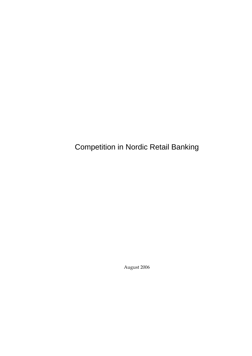Competition in Nordic Retail Banking

August 2006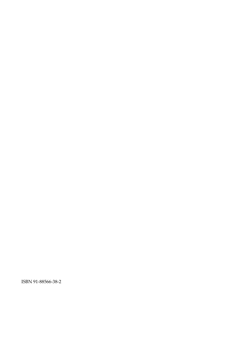ISBN 91‐88566‐38‐2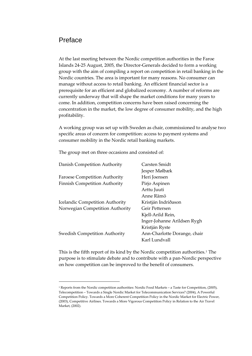# Preface

At the last meeting between the Nordic competition authorities in the Faroe Islands 24‐25 August, 2005, the Director‐Generals decided to form a working group with the aim of compiling a report on competition in retail banking in the Nordic countries. The area is important for many reasons. No consumer can manage without access to retail banking. An efficient financial sector is a prerequisite for an efficient and globalized economy. A number of reforms are currently underway that will shape the market conditions for many years to come. In addition, competition concerns have been raised concerning the concentration in the market, the low degree of consumer mobility, and the high profitability.

A working group was set up with Sweden as chair, commissioned to analyse two specific areas of concern for competition: access to payment systems and consumer mobility in the Nordic retail banking markets.

The group met on three occasions and consisted of:

<u> 1989 - Johann Barn, mars ar breithinn ar chuid ann an t-</u>

| Carsten Smidt                |
|------------------------------|
| Jesper Mølbæk                |
| Heri Joensen                 |
| Pirjo Aspinen                |
| Arttu Juuti                  |
| Anne Rämö                    |
| Kristján Indriðason          |
| Geir Pettersen               |
| Kjell-Arild Rein,            |
| Inger-Johanne Arildsen Rygh  |
| Kristján Ryste               |
| Ann-Charlotte Dorange, chair |
| Karl Lundvall                |
|                              |

This is the fifth report of its kind by the Nordic competition authorities.<sup>[1](#page-2-0)</sup> The purpose is to stimulate debate and to contribute with a pan‐Nordic perspective on how competition can be improved to the benefit of consumers.

<span id="page-2-0"></span><sup>1</sup> Reports from the Nordic competition authorities: Nordic Food Markets – a Taste for Competition, (2005), Telecompetition – Towards a Single Nordic Market for Telecommunication Services? (2004), A Powerful Competition Policy. Towards a More Coherent Competition Policy in the Nordic Market for Electric Power, (2003), Competitive Airlines. Towards a More Vigorous Competition Policy in Relation to the Air Travel Market, (2002).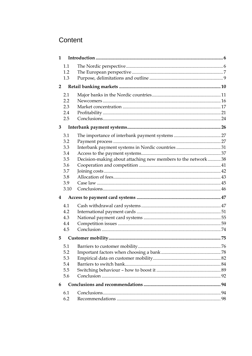# Content

| $\mathbf{1}$   |      |                                                              |  |
|----------------|------|--------------------------------------------------------------|--|
|                | 1.1  |                                                              |  |
|                | 1.2  |                                                              |  |
|                | 1.3  |                                                              |  |
| $\overline{2}$ |      |                                                              |  |
|                | 2.1  |                                                              |  |
|                | 2.2  |                                                              |  |
|                | 2.3  |                                                              |  |
|                | 2.4  |                                                              |  |
|                | 2.5  |                                                              |  |
| 3              |      |                                                              |  |
|                | 3.1  |                                                              |  |
|                | 3.2  |                                                              |  |
|                | 3.3  |                                                              |  |
|                | 3.4  |                                                              |  |
|                | 3.5  | Decision-making about attaching new members to the network38 |  |
|                | 3.6  |                                                              |  |
|                | 3.7  |                                                              |  |
|                | 3.8  |                                                              |  |
|                | 3.9  |                                                              |  |
|                | 3.10 |                                                              |  |
| 4              |      |                                                              |  |
|                | 4.1  |                                                              |  |
|                | 4.2  |                                                              |  |
|                | 4.3  |                                                              |  |
|                | 4.4  |                                                              |  |
|                | 4.5  |                                                              |  |
| 5              |      |                                                              |  |
|                | 5.1  |                                                              |  |
|                | 5.2  |                                                              |  |
|                | 5.3  |                                                              |  |
|                | 5.4  |                                                              |  |
|                | 5.5  |                                                              |  |
|                | 5.6  |                                                              |  |
| 6              |      |                                                              |  |
|                | 6.1  |                                                              |  |
|                | 6.2  |                                                              |  |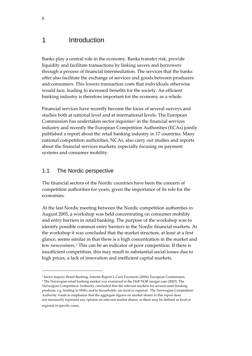# <span id="page-5-0"></span>1 Introduction

Banks play a central role in the economy. Banks transfer risk, provide liquidity and facilitate transactions by linking savers and borrowers through a process of financial intermediation. The services that the banks offer also facilitate the exchange of services and goods between producers and consumers. This lowers transaction costs that individuals otherwise would face, leading to increased benefits for the society. An efficient banking industry is therefore important for the economy as a whole.

Financial services have recently become the focus of several surveys and studies both at national level and at international levels. The European Commission has undertaken sector inquiries<sup>[2](#page-5-1)</sup> in the financial services industry and recently the European Competition Authorities (ECAs) jointly published a report about the retail banking industry in 17 countries. Many national competition authorities, NCAs, also carry out studies and reports about the financial services markets, especially focusing on payment systems and consumer mobility.

# 1.1 The Nordic perspective

<u> 1989 - Johann Barn, mars eta bainar eta industrial eta bainar eta baina eta baina eta baina eta baina eta ba</u>

The financial sectors of the Nordic countries have been the concern of competition authorities for years, given the importance of its role for the economies.

At the last Nordic meeting between the Nordic competition authorities in August 2005, a workshop was held concentrating on consumer mobility and entry barriers in retail banking. The purpose of the workshop was to identify possible common entry barriers in the Nordic financial markets. At the workshop it was concluded that the market structure, at least at a first glance, seems similar in that there is a high concentration in the market and few newcomers.[3](#page-5-2) This can be an indicator of poor competition. If there is insufficient competition, this may result in substantial social losses due to high prices, a lack of innovation and inefficient capital markets.

<span id="page-5-2"></span><span id="page-5-1"></span><sup>2</sup> Sector Inquiry Retail Banking, Interim Report I, Card Payments (2006), European Commission. <sup>3</sup> The Norwegian retail banking market was examined in the DnB NOR merger case (2003). The Norwegian Competition Authority concluded that the relevant markets for several retail banking products, e.g. lending to SMEs and to households, are local or regional. The Norwegian Competition Authority wants to emphasize that the aggregate figures on market shares in this report does not necessarily represent any opinion on relevant market shares, as these may be defined as local or regional in specific cases*.*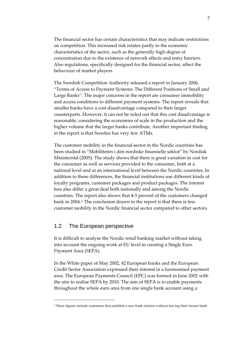<span id="page-6-0"></span>The financial sector has certain characteristics that may indicate restrictions on competition. This increased risk relates partly to the economic characteristics of the sector, such as the generally high degree of concentration due to the existence of network effects and entry barriers. Also regulations, specifically designed for the financial sector, affect the behaviour of market players.

The Swedish Competition Authority released a report in January 2006, "Terms of Access to Payment Systems: The Different Positions of Small and Large Banks". The major concerns in the report are consumer immobility and access conditions to different payment systems. The report reveals that smaller banks have a cost disadvantage compared to their larger counterparts. However, it can not be ruled out that this cost disadvantage is reasonable, considering the economies of scale in the production and the higher volume that the larger banks contribute. Another important finding in the report is that Sweden has very few ATMs.

The customer mobility in the financial sector in the Nordic countries has been studied in "Mobiliteten i den nordiske finansielle sektor" by Nordisk Ministerråd (2005). The study shows that there is great variation in cost for the consumer as well as services provided to the consumer, both at a national level and at an international level between the Nordic countries. In addition to these differences, the financial institutions use different kinds of loyalty programs, customer packages and product packages. The interest fees also differ a great deal both nationally and among the Nordic countries. The report also shows that 4‐5 percent of the customers changed bank in 2004. [4](#page-6-1) The conclusion drawn in the report is that there is less customer mobility in the Nordic financial sector compared to other sectors.

## 1.2 The European perspective

<u> 1989 - Johann Barn, mars eta bainar eta industrial eta bainar eta baina eta baina eta baina eta baina eta ba</u>

It is difficult to analyse the Nordic retail banking market without taking into account the ongoing work at EU level in creating a Single Euro Payment Area (SEPA).

In the White paper of May 2002, 42 European banks and the European Credit Sector Association expressed their interest in a harmonised payment area. The European Payments Council (EPC) was formed in June 2002 with the aim to realise SEPA by 2010. The aim of SEPA is to enable payments throughout the whole euro area from one single bank account using a

<span id="page-6-1"></span><sup>4</sup> These figures include customers that establish a new bank relation without leaving their former bank.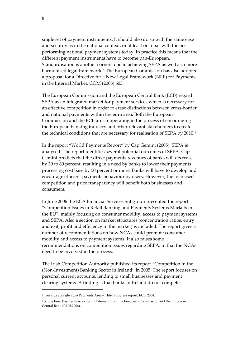single set of payment instruments. It should also do so with the same ease and security as in the national context, or at least on a par with the best performing national payment systems today. In practice this means that the different payment instruments have to become pan‐European. Standardisation is another cornerstone in achieving SEPA as well as a more harmonised legal framework.<sup>[5](#page-7-0)</sup> The European Commission has also adopted a proposal for a Directive for a New Legal Framework (NLF) for Payments in the Internal Market, COM (2005) 603.

The European Commission and the European Central Bank (ECB) regard SEPA as an integrated market for payment services which is necessary for an effective competition in order to erase distinctions between cross‐border and national payments within the euro area. Both the European Commission and the ECB are co‐operating in the process of encouraging the European banking industry and other relevant stakeholders to create the technical conditions that are necessary for realisation of SEPA by 2010.<sup>[6](#page-7-1)</sup>

In the report "World Payments Report" by Cap Gemini (2005), SEPA is analysed. The report identifies several potential outcomes of SEPA. Cap Gemini predicts that the direct payments revenues of banks will decrease by 30 to 60 percent, resulting in a need by banks to lower their payments processing cost base by 50 percent or more. Banks will have to develop and encourage efficient payments behaviour by users. However, the increased competition and price transparency will benefit both businesses and consumers.

In June 2006 the ECA Financial Services Subgroup presented the report: "Competition Issues in Retail Banking and Payments Systems Markets in the EU", mainly focusing on consumer mobility, access to payment systems and SEPA. Also a section on market structures (concentration ratios, entry and exit, profit and efficiency in the market) is included. The report gives a number of recommendations on how NCAs could promote consumer mobility and access to payment systems. It also raises some recommendations on competition issues regarding SEPA, in that the NCAs need to be involved in the process.

The Irish Competition Authority published its report "Competition in the (Non‐Investment) Banking Sector in Ireland" in 2005. The report focuses on personal current accounts, lending to small businesses and payment clearing systems. A finding is that banks in Ireland do not compete

<u> 1989 - Johann Barn, mars eta bainar eta industrial eta bainar eta baina eta baina eta baina eta baina eta ba</u>

<span id="page-7-0"></span><sup>5</sup> Towards a Single Euro Payments Area – Third Progress report, ECB, 2004.

<span id="page-7-1"></span><sup>6</sup> Single Euro Payments Area: Joint Statement from the European Commission and the European Central Bank (04.05.2006).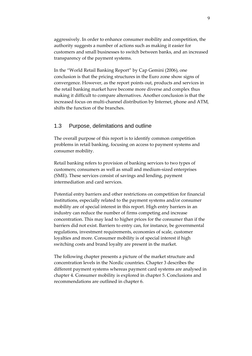<span id="page-8-0"></span>aggressively. In order to enhance consumer mobility and competition, the authority suggests a number of actions such as making it easier for customers and small businesses to switch between banks, and an increased transparency of the payment systems.

In the "World Retail Banking Report" by Cap Gemini (2006), one conclusion is that the pricing structures in the Euro zone show signs of convergence. However, as the report points out, products and services in the retail banking market have become more diverse and complex thus making it difficult to compare alternatives. Another conclusion is that the increased focus on multi‐channel distribution by Internet, phone and ATM, shifts the function of the branches.

# 1.3 Purpose, delimitations and outline

The overall purpose of this report is to identify common competition problems in retail banking, focusing on access to payment systems and consumer mobility.

Retail banking refers to provision of banking services to two types of customers; consumers as well as small and medium‐sized enterprises (SME). These services consist of savings and lending, payment intermediation and card services.

Potential entry barriers and other restrictions on competition for financial institutions, especially related to the payment systems and/or consumer mobility are of special interest in this report. High entry barriers in an industry can reduce the number of firms competing and increase concentration. This may lead to higher prices for the consumer than if the barriers did not exist. Barriers to entry can, for instance, be governmental regulations, investment requirements, economies of scale, customer loyalties and more. Consumer mobility is of special interest if high switching costs and brand loyalty are present in the market.

The following chapter presents a picture of the market structure and concentration levels in the Nordic countries. Chapter 3 describes the different payment systems whereas payment card systems are analysed in chapter 4. Consumer mobility is explored in chapter 5. Conclusions and recommendations are outlined in chapter 6.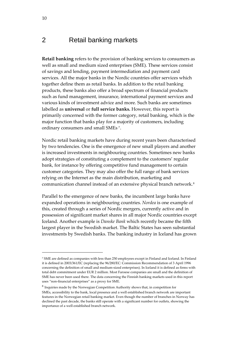# <span id="page-9-0"></span>2 Retail banking markets

**Retail banking** refers to the provision of banking services to consumers as well as small and medium sized enterprises (SME). These services consist of savings and lending, payment intermediation and payment card services. All the major banks in the Nordic countries offer services which together define them as retail banks. In addition to the retail banking products, these banks also offer a broad spectrum of financial products such as fund management, insurance, international payment services and various kinds of investment advice and more. Such banks are sometimes labelled as **universal** or **full service banks.** However, this report is primarily concerned with the former category, retail banking, which is the major function that banks play for a majority of customers, including ordinary consumers and small SMEs [7](#page-9-1).

Nordic retail banking markets have during recent years been characterised by two tendencies. One is the emergence of new small players and another is increased investments in neighbouring countries. Sometimes new banks adopt strategies of constituting a complement to the customers' regular bank, for instance by offering competitive fund management to certain customer categories. They may also offer the full range of bank services relying on the Internet as the main distribution, marketing and communication channel instead of an extensive physical branch network.[8](#page-9-2)

Parallel to the emergence of new banks, the incumbent large banks have expanded operations in neighbouring countries. *Nordea* is one example of this, created through a series of Nordic mergers, currently active and in possession of significant market shares in all major Nordic countries except Iceland. Another example is *Danske Bank* which recently became the fifth largest player in the Swedish market. The Baltic States has seen substantial investments by Swedish banks. The banking industry in Iceland has grown

<u> 1989 - Johann Barn, mars eta bainar eta industrial eta bainar eta baina eta baina eta baina eta baina eta ba</u>

<span id="page-9-1"></span><sup>7</sup> SME are defined as companies with less than 250 employees except in Finland and Iceland. In Finland it is defined in 2003/361/EC (replacing the 96/280/EC: Commission Recommendation of 3 April 1996 concerning the definition of small and medium‐sized enterprises). In Iceland it is defined as firms with total debt commitment under EUR 2 million. Most Faroese companies are small and the definition of SME has never been used there. The data concerning the Finnish banking markets used in this report uses "non‐financial enterprises" as a proxy for SME.

<span id="page-9-2"></span><sup>8</sup> Inquiries made by the Norwegian Competition Authority shows that, in competition for SMEs, accessibility to the bank, local presence and a well established branch network are important features in the Norwegian retail banking market. Even though the number of branches in Norway has declined the past decade, the banks still operate with a significant number for outlets, showing the importance of a well established branch network.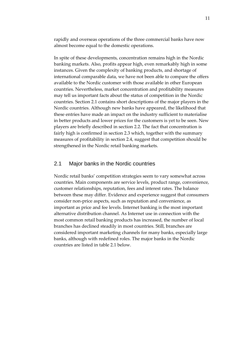<span id="page-10-0"></span>rapidly and overseas operations of the three commercial banks have now almost become equal to the domestic operations.

In spite of these developments, concentration remains high in the Nordic banking markets. Also, profits appear high, even remarkably high in some instances. Given the complexity of banking products, and shortage of international comparable data, we have not been able to compare the offers available to the Nordic customer with those available in other European countries. Nevertheless, market concentration and profitability measures may tell us important facts about the status of competition in the Nordic countries. Section 2.1 contains short descriptions of the major players in the Nordic countries. Although new banks have appeared, the likelihood that these entries have made an impact on the industry sufficient to materialise in better products and lower prices for the customers is yet to be seen. New players are briefly described in section 2.2. The fact that concentration is fairly high is confirmed in section 2.3 which, together with the summary measures of profitability in section 2.4, suggest that competition should be strengthened in the Nordic retail banking markets.

### 2.1 Major banks in the Nordic countries

Nordic retail banks' competition strategies seem to vary somewhat across countries. Main components are service levels, product range, convenience, customer relationships, reputation, fees and interest rates. The balance between these may differ. Evidence and experience suggest that consumers consider non‐price aspects, such as reputation and convenience, as important as price and fee levels. Internet banking is the most important alternative distribution channel. As Internet use in connection with the most common retail banking products has increased, the number of local branches has declined steadily in most countries. Still, branches are considered important marketing channels for many banks, especially large banks, although with redefined roles. The major banks in the Nordic countries are listed in table 2.1 below.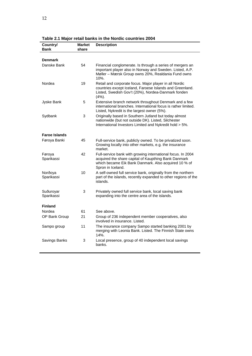| Country/<br><b>Bank</b>                 | <b>Market</b><br>share | <b>Description</b>                                                                                                                                                                               |
|-----------------------------------------|------------------------|--------------------------------------------------------------------------------------------------------------------------------------------------------------------------------------------------|
|                                         |                        |                                                                                                                                                                                                  |
| <b>Denmark</b>                          |                        |                                                                                                                                                                                                  |
| Danske Bank                             | 54                     | Financial conglomerate. Is through a series of mergers an<br>important player also in Norway and Sweden. Listed, A.P.<br>Møller - Mærsk Group owns 20%, Realdania Fund owns<br>10%.              |
| Nordea                                  | 19                     | Retail and corporate focus. Major player in all Nordic<br>countries except Iceland, Faroese Islands and Greenland.<br>Listed, Swedish Gov't (20%), Nordea-Danmark fonden<br>(4%).                |
| Jyske Bank                              | 5                      | Extensive branch network throughout Denmark and a few<br>international branches. International focus is rather limited.<br>Listed, Nykredit is the largest owner (5%).                           |
| Sydbank                                 | 3                      | Originally based in Southern Jutland but today almost<br>nationwide (but not outside DK). Listed, Silchester<br>International Investors Limited and Nykredit hold > 5%.                          |
| <b>Faroe Islands</b>                    |                        |                                                                                                                                                                                                  |
| Føroya Banki                            | 45                     | Full-service bank, publicly owned. To be privatized soon.<br>Growing locally into other markets, e.g. the insurance<br>market.                                                                   |
| Føroya<br>Sparikassi                    | 42                     | Full-service bank with growing international focus. In 2004<br>acquired the share capital of Kaupthing Bank Danmark<br>which became Eik Bank Danmark. Also acquired 10 % of<br>Spron in Iceland. |
| 10<br>Norðoya<br>Sparikassi<br>islands. |                        | A self-owned full service bank, originally from the northern<br>part of the islands, recently expanded to other regions of the                                                                   |
| Suðuroyar<br>Sparikassi                 | 3                      | Privately owned full service bank, local saving bank<br>expanding into the centre area of the islands.                                                                                           |
| <b>Finland</b>                          |                        |                                                                                                                                                                                                  |
| Nordea                                  | 61                     | See above.                                                                                                                                                                                       |
| OP Bank Group                           | 21                     | Group of 236 independent member cooperatives, also<br>involved in insurance. Listed.                                                                                                             |
| Sampo group                             | 11                     | The insurance company Sampo started banking 2001 by<br>merging with Leonia Bank. Listed. The Finnish State owns<br>14%.                                                                          |
| Savings Banks                           | 3                      | Local presence, group of 40 independent local savings<br>hanks.                                                                                                                                  |

**Table 2.1 Major retail banks in the Nordic countries 2004**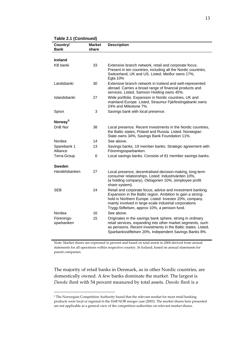#### **Table 2.1 (Continued)**

| Country/<br>Bank         | <b>Market</b><br>share | <b>Description</b>                                                                                                                                                                                                                                                                            |
|--------------------------|------------------------|-----------------------------------------------------------------------------------------------------------------------------------------------------------------------------------------------------------------------------------------------------------------------------------------------|
|                          |                        |                                                                                                                                                                                                                                                                                               |
| <b>Iceland</b>           |                        |                                                                                                                                                                                                                                                                                               |
| <b>KB</b> banki          | 33                     | Extensive branch network, retail and corporate focus.<br>Present in ten countries, including all the Nordic countries,<br>Switzerland, UK and US. Listed, Meiður owns 17%,<br><b>Egla 10%</b>                                                                                                 |
| Landsbanki               | 30                     | Extensive branch network in Iceland and well-represented<br>abroad. Carries a broad range of financial products and<br>services. Listed, Samson Holding owns 45%.                                                                                                                             |
| Islandsbanki             | 27                     | Wide portfolio. Expansion in Nordic countries, UK and<br>mainland Europe. Listed, Straumur Fjárfestingabanki owns<br>24% and Milestone 7%.                                                                                                                                                    |
| Spron                    | 3                      | Savings bank with local presence.                                                                                                                                                                                                                                                             |
| Norway <sup>9</sup>      |                        |                                                                                                                                                                                                                                                                                               |
| DnB Nor                  | 38                     | Local presence. Recent investments in the Nordic countries,<br>the Baltic states, Poland and Russia. Listed. Norwegian<br>State owns 34%, Savings Bank Foundation 11%.                                                                                                                        |
| Nordea                   | 14                     | See above.                                                                                                                                                                                                                                                                                    |
| Sparebank 1<br>Alliance  | 13                     | Savings banks. 19 member banks. Strategic agreement with<br>Föreningssparbanken.                                                                                                                                                                                                              |
| Terra-Group              | 6                      | Local savings banks. Consists of 81 member savings banks.                                                                                                                                                                                                                                     |
| Sweden                   |                        |                                                                                                                                                                                                                                                                                               |
| Handelsbanken            | 27                     | Local presence, decentralised decision-making, long-term<br>consumer relationships. Listed: Industrivärden 10%,<br>(a holding company), Oktogonen 10%, (employee profit<br>share system).                                                                                                     |
| <b>SEB</b>               | 24                     | Retail and corporate focus, advice and investment banking.<br>Expansion in the Baltic region. Ambition to gain a strong-<br>hold in Northern Europe. Listed: Investor 20%, company<br>mainly involved in large-scale industrial corporations<br>Trygg-Stiftelsen, approx 10%, a pension fund. |
| Nordea                   | 16                     | See above.                                                                                                                                                                                                                                                                                    |
| Förenings-<br>sparbanken | 15                     | Originates in the savings bank sphere, strong in ordinary<br>retail services, expanding into other market segments, such<br>as pensions. Recent investments in the Baltic states. Listed,<br>Sparbanksstiftelsen 20%, Independent Savings Banks 8%.                                           |

Note: Market shares are expressed in percent and based on total assets in 2004 derived from annual statements for all operations within respective country. In Iceland, based on annual statements for parent companies.

The majority of retail banks in Denmark, as in other Nordic countries, are domestically owned. A few banks dominate the market. The largest is *Danske Bank* with 54 percent measured by total assets. *Danske Bank* is a

<u> 1989 - Johann Barn, mars eta bainar eta industrial eta bainar eta baina eta baina eta baina eta baina eta ba</u>

<span id="page-12-0"></span><sup>9</sup> The Norwegian Competition Authority found that the relevant market for most retail banking products were local or regional in the DnB NOR merger case (2003). The market shares here presented are not applicable as a general view of the competition authorities on relevant market shares.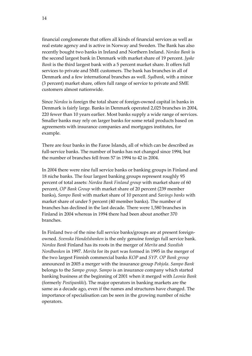financial conglomerate that offers all kinds of financial services as well as real estate agency and is active in Norway and Sweden. The Bank has also recently bought two banks in Ireland and Northern Ireland. *Nordea Bank* is the second largest bank in Denmark with market share of 19 percent. *Jyske Bank* is the third largest bank with a 5 percent market share. It offers full services to private and SME customers. The bank has branches in all of Denmark and a few international branches as well. *Sydbank*, with a minor (3 percent) market share, offers full range of service to private and SME customers almost nationwide.

Since *Nordea* is foreign the total share of foreign-owned capital in banks in Denmark is fairly large. Banks in Denmark operated 2,025 branches in 2004, 220 fewer than 10 years earlier. Most banks supply a wide range of services. Smaller banks may rely on larger banks for some retail products based on agreements with insurance companies and mortgages institutes, for example.

There are four banks in the Faroe Islands, all of which can be described as full-service banks. The number of banks has not changed since 1994, but the number of branches fell from 57 in 1994 to 42 in 2004.

In 2004 there were nine full service banks or banking groups in Finland and 18 niche banks. The four largest banking groups represent roughly 95 percent of total assets: *Nordea Bank Finland group* with market share of 60 percent, *OP Bank Group* with market share of 20 percent (239 member banks), *Sampo Bank* with market share of 10 percent and *Savings banks* with market share of under 5 percent (40 member banks). The number of branches has declined in the last decade. There were 1,580 branches in Finland in 2004 whereas in 1994 there had been about another 370 branches.

In Finland two of the nine full service banks/groups are at present foreignowned. *Svenska Handelsbanken* is the only genuine foreign full service bank. *Nordea Bank* Finland has its roots in the merger of *Merita* and *Swedish Nordbanken* in 1997. *Merita* for its part was formed in 1995 in the merger of the two largest Finnish commercial banks *KOP* and *SYP*. *OP Bank group* announced in 2005 a merger with the insurance group *Pohjola*. *Sampo Bank* belongs to the *Sampo group*. *Sampo* is an insurance company which started banking business at the beginning of 2001 when it merged with *Leonia Bank* (formerly *Postipankki*). The major operators in banking markets are the same as a decade ago, even if the names and structures have changed. The importance of specialisation can be seen in the growing number of niche operators.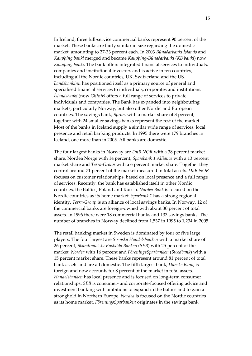In Iceland, three full‐service commercial banks represent 90 percent of the market. These banks are fairly similar in size regarding the domestic market, amounting to 27‐33 percent each. In 2003 *Búnaðarbanki Íslands* and *Kaupþing banki* merged and became *Kaupþing‐Búnaðarbanki (KB banki*) now *Kaupþing banki*. The bank offers integrated financial services to individuals, companies and institutional investors and is active in ten countries, including all the Nordic countries, UK, Switzerland and the US. *Landsbankinn* has positioned itself as a primary source of general and specialised financial services to individuals, corporates and institutions. *Íslandsbanki (*now *Glitnir)* offers a full range of services to private individuals and companies. The Bank has expanded into neighbouring markets, particularly Norway, but also other Nordic and European countries. The savings bank, *Spron,* with a market share of 3 percent, together with 24 smaller savings banks represent the rest of the market. Most of the banks in Iceland supply a similar wide range of services, local presence and retail banking products. In 1995 there were 179 branches in Iceland, one more than in 2005. All banks are domestic.

The four largest banks in Norway are *DnB NOR* with a 38 percent market share, Nordea Norge with 14 percent, *Sparebank 1 Alliance* with a 13 percent market share and *Terra‐Group* with a 6 percent market share. Together they control around 71 percent of the market measured in total assets. *DnB NOR* focuses on customer relationships, based on local presence and a full range of services. Recently, the bank has established itself in other Nordic countries, the Baltics, Poland and Russia. *Nordea Bank* is focused on the Nordic countries as its home market. *Sparbank 1* has a strong regional identity. *Terra‐Group* is an alliance of local savings banks. In Norway, 12 of the commercial banks are foreign‐owned with about 30 percent of total assets. In 1996 there were 18 commercial banks and 133 savings banks. The number of branches in Norway declined from 1,537 in 1995 to 1,234 in 2005.

The retail banking market in Sweden is dominated by four or five large players. The four largest are *Svenska Handelsbanken* with a market share of 26 percent, *Skandinaviska Enskilda Banken (SEB*) with 25 percent of the market, *Nordea* with 16 percent and *FöreningsSparbanken* (*Swedbank*) with a 15 percent market share. These banks represent around 81 percent of total bank assets and are all domestic. The fifth largest bank, *Danske Bank*, is foreign and now accounts for 8 percent of the market in total assets. *Handelsbanken* has local presence and is focused on long‐term consumer relationships. *SEB* is consumer‐ and corporate‐focused offering advice and investment banking with ambitions to expand in the Baltics and to gain a stronghold in Northern Europe. *Nordea* is focused on the Nordic countries as its home market. *FöreningsSparbanken* originates in the savings bank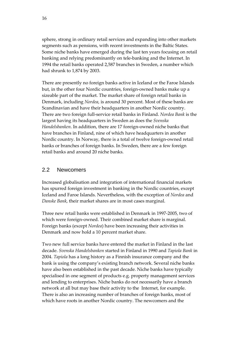<span id="page-15-0"></span>sphere, strong in ordinary retail services and expanding into other markets segments such as pensions, with recent investments in the Baltic States. Some niche banks have emerged during the last ten years focusing on retail banking and relying predominantly on tele‐banking and the Internet. In 1994 the retail banks operated 2,587 branches in Sweden, a number which had shrunk to 1,874 by 2003.

There are presently no foreign banks active in Iceland or the Faroe Islands but, in the other four Nordic countries, foreign‐owned banks make up a sizeable part of the market. The market share of foreign retail banks in Denmark, including *Nordea*, is around 30 percent. Most of these banks are Scandinavian and have their headquarters in another Nordic country. There are two foreign full‐service retail banks in Finland. *Nordea Bank* is the largest having its headquarters in Sweden as does the *Svenska Handelsbanken*. In addition, there are 17 foreign‐owned niche banks that have branches in Finland, nine of which have headquarters in another Nordic country. In Norway, there is a total of twelve foreign‐owned retail banks or branches of foreign banks. In Sweden, there are a few foreign retail banks and around 20 niche banks.

# 2.2 Newcomers

Increased globalisation and integration of international financial markets has spurred foreign investment in banking in the Nordic countries, except Iceland and Faroe Islands. Nevertheless, with the exception of *Nordea* and *Danske Bank*, their market shares are in most cases marginal.

Three new retail banks were established in Denmark in 1997‐2005, two of which were foreign-owned. Their combined market share is marginal. Foreign banks (except *Nordea*) have been increasing their activities in Denmark and now hold a 10 percent market share.

Two new full service banks have entered the market in Finland in the last decade. *Svenska Handelsbanken* started in Finland in 1990 and *Tapiola Bank* in 2004. *Tapiola* has a long history as a Finnish insurance company and the bank is using the company's existing branch network. Several niche banks have also been established in the past decade. Niche banks have typically specialised in one segment of products e.g. property management services and lending to enterprises. Niche banks do not necessarily have a branch network at all but may base their activity to the Internet, for example. There is also an increasing number of branches of foreign banks, most of which have roots in another Nordic country. The newcomers and the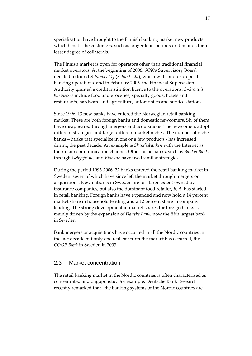<span id="page-16-0"></span>specialisation have brought to the Finnish banking market new products which benefit the customers, such as longer loan-periods or demands for a lesser degree of collaterals.

The Finnish market is open for operators other than traditional financial market operators. At the beginning of 2006, *SOK's* Supervisory Board decided to found *S‐Pankki Oy* (*S‐Bank Ltd*), which will conduct deposit banking operations, and in February 2006, the Financial Supervision Authority granted a credit institution licence to the operations. *S‐Group's businesses* include food and groceries, specialty goods, hotels and restaurants, hardware and agriculture, automobiles and service stations.

Since 1996, 13 new banks have entered the Norwegian retail banking market. These are both foreign banks and domestic newcomers. Six of them have disappeared through mergers and acquisitions. The newcomers adopt different strategies and target different market niches. The number of niche banks – banks that specialize in one or a few products ‐ has increased during the past decade. An example is *Skandiabanken* with the Internet as their main communication channel. Other niche banks, such as *Bankia Bank*, through *Gebyrfri.no*, and *BNbank* have used similar strategies.

During the period 1993‐2006, 22 banks entered the retail banking market in Sweden, seven of which have since left the market through mergers or acquisitions. New entrants in Sweden are to a large extent owned by insurance companies, but also the dominant food retailer, *ICA*, has started in retail banking. Foreign banks have expanded and now hold a 14 percent market share in household lending and a 12 percent share in company lending. The strong development in market shares for foreign banks is mainly driven by the expansion of *Danske Bank*, now the fifth largest bank in Sweden.

Bank mergers or acquisitions have occurred in all the Nordic countries in the last decade but only one real exit from the market has occurred, the *COOP Bank* in Sweden in 2003.

### 2.3 Market concentration

The retail banking market in the Nordic countries is often characterised as concentrated and oligopolistic. For example, Deutsche Bank Research recently remarked that "the banking systems of the Nordic countries are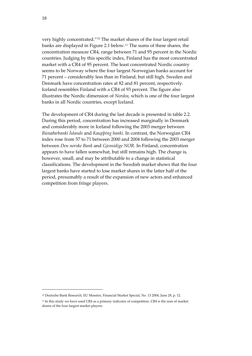very highly concentrated."[10](#page-17-0) The market shares of the four largest retail banks are displayed in Figure 2.1 below.[11](#page-17-1) The sums of these shares, the concentration measure CR4, range between 71 and 95 percent in the Nordic countries. Judging by this specific index, Finland has the most concentrated market with a CR4 of 95 percent. The least concentrated Nordic country seems to be Norway where the four largest Norwegian banks account for 71 percent – considerably less than in Finland, but still high. Sweden and Denmark have concentration rates at 82 and 81 percent, respectively. Iceland resembles Finland with a CR4 of 93 percent. The figure also illustrates the Nordic dimension of *Nordea*, which is one of the four largest banks in all Nordic countries, except Iceland.

The development of CR4 during the last decade is presented in table 2.2. During this period, concentration has increased marginally in Denmark and considerably more in Iceland following the 2003 merger between *Búnaðarbanki Íslands* and *Kaupþing banki*. In contrast, the Norwegian CR4 index rose from 57 to 71 between 2000 and 2004 following the 2003 merger between *Den norske Bank* and *Gjensidige NOR*. In Finland, concentration appears to have fallen somewhat, but still remains high. The change is, however, small, and may be attributable to a change in statistical classifications. The development in the Swedish market shows that the four largest banks have started to lose market shares in the latter half of the period, presumably a result of the expansion of new actors and enhanced competition from fringe players.

<u> 1989 - Johann Barn, mars eta bainar eta industrial eta bainar eta baina eta baina eta baina eta baina eta ba</u>

<span id="page-17-0"></span><sup>10</sup> Deutsche Bank Research, EU Monitor, Financial Market Special, No. 13 2004, June 28, p. 12.

<span id="page-17-1"></span><sup>11</sup> In this study we have used CR4 as a primary indicator of competition. CR4 is the sum of market shares of the four largest market players.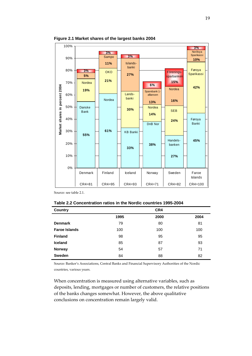

**Figure 2.1 Market shares of the largest banks 2004** 

Source: see table 2.1.

| Table 2.2 Concentration ratios in the Nordic countries 1995-2004 |  |  |  |
|------------------------------------------------------------------|--|--|--|
|------------------------------------------------------------------|--|--|--|

| Country              |      | CR4  |      |
|----------------------|------|------|------|
|                      | 1995 | 2000 | 2004 |
| <b>Denmark</b>       | 79   | 80   | 81   |
| <b>Faroe Islands</b> | 100  | 100  | 100  |
| <b>Finland</b>       | 98   | 95   | 95   |
| <b>Iceland</b>       | 85   | 87   | 93   |
| <b>Norway</b>        | 54   | 57   | 71   |
| <b>Sweden</b>        | 84   | 88   | 82   |

Source: Banker's Associations, Central Banks and Financial Supervisory Authorities of the Nordic countries, various years.

When concentration is measured using alternative variables, such as deposits, lending, mortgages or number of customers, the relative positions of the banks changes somewhat. However, the above qualitative conclusions on concentration remain largely valid.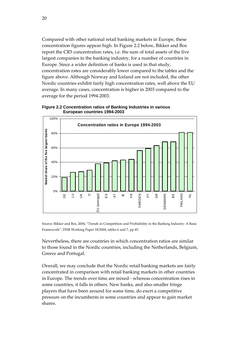Compared with other national retail banking markets in Europe, these concentration figures appear high. In Figure 2.2 below, Bikker and Bos report the CR5 concentration rates, i.e. the sum of total assets of the five largest companies in the banking industry, for a number of countries in Europe. Since a wider definition of banks is used in that study, concentration rates are considerably lower compared to the tables and the figure above. Although Norway and Iceland are not included, the other Nordic countries exhibit fairly high concentration rates, well above the EU average. In many cases, concentration is higher in 2003 compared to the average for the period 1994‐2003.



**Figure 2.2 Concentration ratios of Banking Industries in various European countries 1994-2003** 

Source: Bikker and Bos, 2004, "Trends in Competition and Profitability in the Banking Industry: A Basic Framework", DNB Working Paper 18/2004, tables 6 and 7, pp 45.

Nevertheless, there are countries in which concentration ratios are similar to those found in the Nordic countries, including the Netherlands, Belgium, Greece and Portugal.

Overall, we may conclude that the Nordic retail banking markets are fairly concentrated in comparison with retail banking markets in other countries in Europe. The trends over time are mixed ‐ whereas concentration rises in some countries, it falls in others. New banks, and also smaller fringe players that have been around for some time, do exert a competitive pressure on the incumbents in some countries and appear to gain market shares.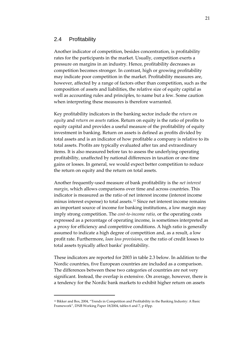### <span id="page-20-0"></span>2.4 Profitability

Another indicator of competition, besides concentration, is profitability rates for the participants in the market. Usually, competition exerts a pressure on margins in an industry. Hence, profitability decreases as competition becomes stronger. In contrast, high or growing profitability may indicate poor competition in the market. Profitability measures are, however, affected by a range of factors other than competition, such as the composition of assets and liabilities, the relative size of equity capital as well as accounting rules and principles, to name but a few. Some caution when interpreting these measures is therefore warranted.

Key profitability indicators in the banking sector include the *return on equity* and *return on assets* ratios. Return on equity is the ratio of profits to equity capital and provides a useful measure of the profitability of equity investment in banking. Return on assets is defined as profits divided by total assets and is an indicator of how profitable a company is relative to its total assets. Profits are typically evaluated after tax and extraordinary items. It is also measured before tax to assess the underlying operating profitability, unaffected by national differences in taxation or one‐time gains or losses. In general, we would expect better competition to reduce the return on equity and the return on total assets.

Another frequently‐used measure of bank profitability is the *net interest margin*, which allows comparisons over time and across countries. This indicator is measured as the ratio of net interest income (interest income minus interest expense) to total assets.[12](#page-20-1) Since net interest income remains an important source of income for banking institutions, a low margin may imply strong competition. The *cost‐to‐income ratio,* or the operating costs expressed as a percentage of operating income, is sometimes interpreted as a proxy for efficiency and competitive conditions. A high ratio is generally assumed to indicate a high degree of competition and, as a result, a low profit rate. Furthermore, *loan loss provisions,* or the ratio of credit losses to total assets typically affect banks' profitability.

These indicators are reported for 2003 in table 2.3 below. In addition to the Nordic countries, five European countries are included as a comparison. The differences between these two categories of countries are not very significant. Instead, the overlap is extensive. On average, however, there is a tendency for the Nordic bank markets to exhibit higher return on assets

<u> 1989 - Johann Barn, mars eta bainar eta industrial eta bainar eta baina eta baina eta baina eta baina eta ba</u>

<span id="page-20-1"></span><sup>12</sup> Bikker and Bos, 2004, "Trends in Competition and Profitability in the Banking Industry: A Basic Framework", DNB Working Paper 18/2004, tables 6 and 7, p 45pp.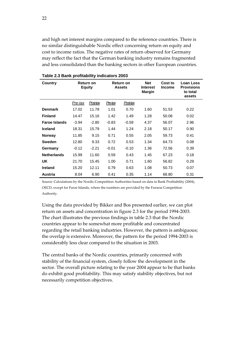and high net interest margins compared to the reference countries. There is no similar distinguishable Nordic effect concerning return on equity and cost to income ratios. The negative rates of return observed for Germany may reflect the fact that the German banking industry remains fragmented and less consolidated than the banking sectors in other European countries.

| Country              | <b>Equity</b> | Return on |         | Return on<br><b>Assets</b> | <b>Net</b><br><b>Interest</b><br><b>Margin</b> | Cost to<br><b>Income</b> | Loan Loss<br><b>Provisions</b><br>to total<br>assets |
|----------------------|---------------|-----------|---------|----------------------------|------------------------------------------------|--------------------------|------------------------------------------------------|
|                      | Pre-tax       | Post-tax  | Pre-tax | Post-tax                   |                                                |                          |                                                      |
| <b>Denmark</b>       | 17.02         | 11.78     | 1.01    | 0.70                       | 1.60                                           | 51.53                    | 0.22                                                 |
| <b>Finland</b>       | 14.47         | 15.16     | 1.42    | 1.49                       | 1.28                                           | 50.08                    | 0.02                                                 |
| <b>Faroe Islands</b> | $-3.94$       | $-2.80$   | $-0.83$ | $-0.59$                    | 4.37                                           | 56.07                    | 2.96                                                 |
| <b>Iceland</b>       | 18.31         | 15.79     | 1.44    | 1.24                       | 2.18                                           | 50.17                    | 0.90                                                 |
| <b>Norway</b>        | 11.85         | 9.15      | 0.71    | 0.55                       | 2.05                                           | 59.73                    | 0.41                                                 |
| <b>Sweden</b>        | 12.80         | 9.33      | 0.72    | 0.53                       | 1.34                                           | 64.73                    | 0.08                                                 |
| Germany              | $-0.12$       | $-2.21$   | $-0.01$ | $-0.10$                    | 1.36                                           | 72.56                    | 0.39                                                 |
| <b>Netherlands</b>   | 15.99         | 11.60     | 0.59    | 0.43                       | 1.45                                           | 67.23                    | 0.18                                                 |
| <b>UK</b>            | 21.70         | 15.45     | 1.00    | 0.71                       | 1.60                                           | 56.82                    | 0.29                                                 |
| <b>Ireland</b>       | 15.20         | 12.11     | 0.79    | 0.63                       | 1.08                                           | 50.73                    | 0.07                                                 |
| Austria              | 8.04          | 6.90      | 0.41    | 0.35                       | 1.14                                           | 68.80                    | 0.31                                                 |

**Table 2.3 Bank profitability indicators 2003** 

Source: Calculations by the Nordic Competition Authorities based on data in Bank Profitability (2004), OECD, except for Faroe Islands, where the numbers are provided by the Faroese Competition Authority.

Using the data provided by Bikker and Bos presented earlier, we can plot return on assets and concentration in figure 2.3 for the period 1994‐2003. The chart illustrates the previous findings in table 2.3 that the Nordic countries appear to be somewhat more profitable and concentrated regarding the retail banking industries. However, the pattern is ambiguous; the overlap is extensive. Moreover, the pattern for the period 1994‐2003 is considerably less clear compared to the situation in 2003.

The central banks of the Nordic countries, primarily concerned with stability of the financial system, closely follow the development in the sector. The overall picture relating to the year 2004 appear to be that banks do exhibit good profitability. This may satisfy stability objectives, but not necessarily competition objectives.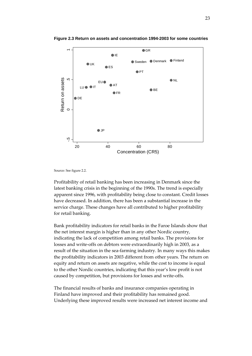

**Figure 2.3 Return on assets and concentration 1994-2003 for some countries** 

Source: See figure 2.2.

Profitability of retail banking has been increasing in Denmark since the latest banking crisis in the beginning of the 1990s. The trend is especially apparent since 1996, with profitability being close to constant. Credit losses have decreased. In addition, there has been a substantial increase in the service charge. These changes have all contributed to higher profitability for retail banking.

Bank profitability indicators for retail banks in the Faroe Islands show that the net interest margin is higher than in any other Nordic country, indicating the lack of competition among retail banks. The provisions for losses and write‐offs on debtors were extraordinarily high in 2003, as a result of the situation in the sea‐farming industry. In many ways this makes the profitability indicators in 2003 different from other years. The return on equity and return on assets are negative, while the cost to income is equal to the other Nordic countries, indicating that this year's low profit is not caused by competition, but provisions for losses and write‐offs.

The financial results of banks and insurance companies operating in Finland have improved and their profitability has remained good. Underlying these improved results were increased net interest income and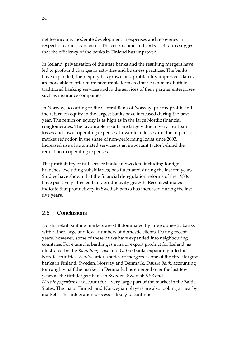<span id="page-23-0"></span>net fee income, moderate development in expenses and recoveries in respect of earlier loan losses. The cost/income and cost/asset ratios suggest that the efficiency of the banks in Finland has improved.

In Iceland, privatisation of the state banks and the resulting mergers have led to profound changes in activities and business practices. The banks have expanded, their equity has grown and profitability improved. Banks are now able to offer more favourable terms to their customers, both in traditional banking services and in the services of their partner enterprises, such as insurance companies.

In Norway, according to the Central Bank of Norway, pre‐tax profits and the return on equity in the largest banks have increased during the past year. The return on equity is as high as in the large Nordic financial conglomerates. The favourable results are largely due to very low loan losses and lower operating expenses. Lower loan losses are due in part to a market reduction in the share of non‐performing loans since 2003. Increased use of automated services is an important factor behind the reduction in operating expenses.

The profitability of full-service banks in Sweden (including foreign branches, excluding subsidiaries) has fluctuated during the last ten years. Studies have shown that the financial deregulation reforms of the 1980s have positively affected bank productivity growth. Recent estimates indicate that productivity in Swedish banks has increased during the last five years.

## 2.5 Conclusions

Nordic retail banking markets are still dominated by large domestic banks with rather large and loyal numbers of domestic clients. During recent years, however, some of these banks have expanded into neighbouring countries. For example, banking is a major export product for Iceland, as illustrated by the *Kaupthing banki* and *Glitnir* banks expanding into the Nordic countries. *Nordea*, after a series of mergers, is one of the three largest banks in Finland, Sweden, Norway and Denmark. *Danske Bank*, accounting for roughly half the market in Denmark, has emerged over the last few years as the fifth largest bank in Sweden. Swedish *SEB* and *Föreningssparbanken* account for a very large part of the market in the Baltic States. The major Finnish and Norwegian players are also looking at nearby markets. This integration process is likely to continue.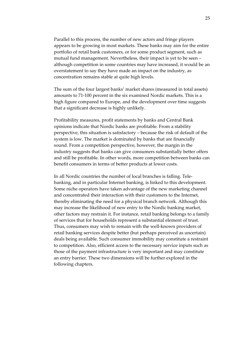Parallel to this process, the number of new actors and fringe players appears to be growing in most markets. These banks may aim for the entire portfolio of retail bank customers, or for some product segment, such as mutual fund management. Nevertheless, their impact is yet to be seen – although competition in some countries may have increased, it would be an overstatement to say they have made an impact on the industry, as concentration remains stable at quite high levels.

The sum of the four largest banks' market shares (measured in total assets) amounts to 71‐100 percent in the six examined Nordic markets. This is a high figure compared to Europe, and the development over time suggests that a significant decrease is highly unlikely.

Profitability measures, profit statements by banks and Central Bank opinions indicate that Nordic banks are profitable. From a stability perspective, this situation is satisfactory – because the risk of default of the system is low. The market is dominated by banks that are financially sound. From a competition perspective, however, the margin in the industry suggests that banks can give consumers substantially better offers and still be profitable. In other words, more competition between banks can benefit consumers in terms of better products at lower costs.

In all Nordic countries the number of local branches is falling. Telebanking, and in particular Internet banking, is linked to this development. Some niche operators have taken advantage of the new marketing channel and concentrated their interaction with their customers to the Internet, thereby eliminating the need for a physical branch network. Although this may increase the likelihood of new entry to the Nordic banking market, other factors may restrain it. For instance, retail banking belongs to a family of services that for households represent a substantial element of trust. Thus, consumers may wish to remain with the well‐known providers of retail banking services despite better (but perhaps perceived as uncertain) deals being available. Such consumer immobility may constitute a restraint to competition. Also, efficient access to the necessary service inputs such as those of the payment infrastructure is very important and may constitute an entry barrier. These two dimensions will be further explored in the following chapters.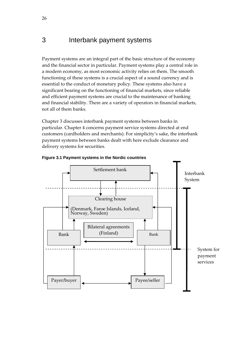# <span id="page-25-0"></span>3 Interbank payment systems

Payment systems are an integral part of the basic structure of the economy and the financial sector in particular. Payment systems play a central role in a modern economy, as most economic activity relies on them. The smooth functioning of these systems is a crucial aspect of a sound currency and is essential to the conduct of monetary policy. These systems also have a significant bearing on the functioning of financial markets, since reliable and efficient payment systems are crucial to the maintenance of banking and financial stability. There are a variety of operators in financial markets, not all of them banks.

Chapter 3 discusses interbank payment systems between banks in particular. Chapter 4 concerns payment service systems directed at end customers (cardholders and merchants). For simplicity's sake, the interbank payment systems between banks dealt with here exclude clearance and delivery systems for securities.



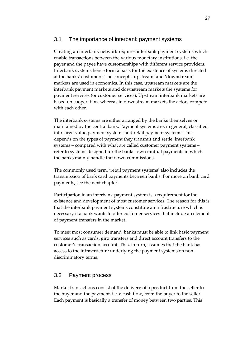### <span id="page-26-0"></span>3.1 The importance of interbank payment systems

Creating an interbank network requires interbank payment systems which enable transactions between the various monetary institutions, i.e. the payer and the payee have customerships with different service providers. Interbank systems hence form a basis for the existence of systems directed at the banks' customers. The concepts 'upstream' and 'downstream' markets are used in economics. In this case, upstream markets are the interbank payment markets and downstream markets the systems for payment services (or customer services). Upstream interbank markets are based on cooperation, whereas in downstream markets the actors compete with each other.

The interbank systems are either arranged by the banks themselves or maintained by the central bank. Payment systems are, in general, classified into large‐value payment systems and retail payment systems. This depends on the types of payment they transmit and settle. Interbank systems – compared with what are called customer payment systems – refer to systems designed for the banks' own mutual payments in which the banks mainly handle their own commissions.

The commonly used term, 'retail payment systems' also includes the transmission of bank card payments between banks. For more on bank card payments, see the next chapter.

Participation in an interbank payment system is a requirement for the existence and development of most customer services. The reason for this is that the interbank payment systems constitute an infrastructure which is necessary if a bank wants to offer customer services that include an element of payment transfers in the market.

To meet most consumer demand, banks must be able to link basic payment services such as cards, giro transfers and direct account transfers to the customer's transaction account. This, in turn, assumes that the bank has access to the infrastructure underlying the payment systems on non‐ discriminatory terms.

# 3.2 Payment process

Market transactions consist of the delivery of a product from the seller to the buyer and the payment, i.e. a cash flow, from the buyer to the seller. Each payment is basically a transfer of money between two parties. This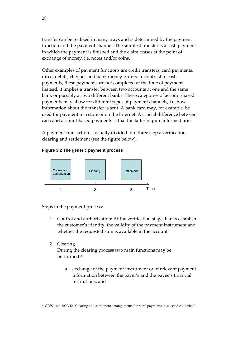transfer can be realized in many ways and is determined by the payment function and the payment channel. The simplest transfer is a cash payment in which the payment is finished and the claim ceases at the point of exchange of money, i.e. notes and/or coins.

Other examples of payment functions are credit transfers, card payments, direct debits, cheques and bank money‐orders. In contrast to cash payments, these payments are not completed at the time of payment. Instead, it implies a transfer between two accounts at one and the same bank or possibly at two different banks. These categories of account-based payments may allow for different types of payment channels, i.e. how information about the transfer is sent. A bank card may, for example, be used for payment in a store or on the Internet. A crucial difference between cash and account‐based payments is that the latter require intermediaries.

A payment transaction is usually divided into three steps: verification, clearing and settlement (see the figure below).

### **Figure 3.2 The generic payment process**



Steps in the payment process:

<u> 1989 - Johann Barn, mars eta bainar eta industrial eta bainar eta baina eta baina eta baina eta baina eta ba</u>

- 1. Control and authorization: At the verification stage, banks establish the customer's identity, the validity of the payment instrument and whether the requested sum is available in the account.
- 2. Clearing

During the clearing process two main functions may be performed<sup>[13](#page-27-0)</sup>:

a. exchange of the payment instrument or of relevant payment information between the payer's and the payee's financial institutions, and

<span id="page-27-0"></span><sup>13</sup> CPSS : sep 2000/40 "Clearing and settlement arrangements for retail payments in selected countries".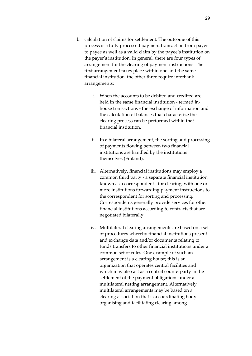- b. calculation of claims for settlement. The outcome of this process is a fully processed payment transaction from payer to payee as well as a valid claim by the payee's institution on the payer's institution. In general, there are four types of arrangement for the clearing of payment instructions. The first arrangement takes place within one and the same financial institution, the other three require interbank arrangements:
	- i. When the accounts to be debited and credited are held in the same financial institution ‐ termed in‐ house transactions ‐ the exchange of information and the calculation of balances that characterize the clearing process can be performed within that financial institution.
	- ii. In a bilateral arrangement, the sorting and processing of payments flowing between two financial institutions are handled by the institutions themselves (Finland).
	- iii. Alternatively, financial institutions may employ a common third party ‐ a separate financial institution known as a correspondent ‐ for clearing, with one or more institutions forwarding payment instructions to the correspondent for sorting and processing. Correspondents generally provide services for other financial institutions according to contracts that are negotiated bilaterally.
	- iv. Multilateral clearing arrangements are based on a set of procedures whereby financial institutions present and exchange data and/or documents relating to funds transfers to other financial institutions under a common set of rules. One example of such an arrangement is a clearing house; this is an organization that operates central facilities and which may also act as a central counterparty in the settlement of the payment obligations under a multilateral netting arrangement. Alternatively, multilateral arrangements may be based on a clearing association that is a coordinating body organising and facilitating clearing among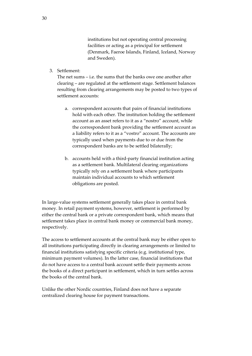institutions but not operating central processing facilities or acting as a principal for settlement (Denmark, Faeroe Islands, Finland, Iceland, Norway and Sweden).

3. Settlement:

The net sums – i.e. the sums that the banks owe one another after clearing – are regulated at the settlement stage. Settlement balances resulting from clearing arrangements may be posted to two types of settlement accounts:

- a. correspondent accounts that pairs of financial institutions hold with each other. The institution holding the settlement account as an asset refers to it as a "nostro" account, while the correspondent bank providing the settlement account as a liability refers to it as a "vostro" account. The accounts are typically used when payments due to or due from the correspondent banks are to be settled bilaterally;
- b. accounts held with a third‐party financial institution acting as a settlement bank. Multilateral clearing organizations typically rely on a settlement bank where participants maintain individual accounts to which settlement obligations are posted.

In large‐value systems settlement generally takes place in central bank money. In retail payment systems, however, settlement is performed by either the central bank or a private correspondent bank, which means that settlement takes place in central bank money or commercial bank money, respectively.

The access to settlement accounts at the central bank may be either open to all institutions participating directly in clearing arrangements or limited to financial institutions satisfying specific criteria (e.g. institutional type, minimum payment volumes). In the latter case, financial institutions that do not have access to a central bank account settle their payments across the books of a direct participant in settlement, which in turn settles across the books of the central bank.

Unlike the other Nordic countries, Finland does not have a separate centralized clearing house for payment transactions.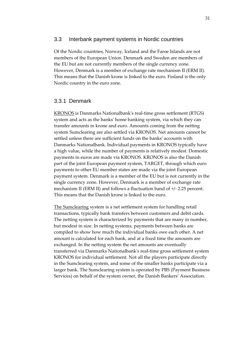#### <span id="page-30-0"></span>3.3 Interbank payment systems in Nordic countries

Of the Nordic countries, Norway, Iceland and the Faroe Islands are not members of the European Union. Denmark and Sweden are members of the EU but are not currently members of the single currency zone. However, Denmark is a member of exchange rate mechanism II (ERM II). This means that the Danish krone is linked to the euro. Finland is the only Nordic country in the euro zone.

### 3.3.1 Denmark

KRONOS is Danmarks Nationalbankʹs real‐time gross settlement (RTGS) system and acts as the banksʹ home banking system, via which they can transfer amounts in krone and euro. Amounts coming from the netting system Sumclearing are also settled via KRONOS. Net amounts cannot be settled unless there are sufficient funds on the banks' accounts with Danmarks Nationalbank. Individual payments in KRONOS typically have a high value, while the number of payments is relatively modest. Domestic payments in euros are made via KRONOS. KRONOS is also the Danish part of the joint European payment system, TARGET, through which euro payments to other EU member states are made via the joint European payment system. Denmark is a member of the EU but is not currently in the single currency zone. However, Denmark is a member of exchange rate mechanism II (ERM II) and follows a fluctuation band of +/‐ 2.25 percent. This means that the Danish krone is linked to the euro.

The Sumclearing system is a net settlement system for handling retail transactions, typically bank transfers between customers and debit cards. The netting system is characterized by payments that are many in number, but modest in size. In netting systems, payments between banks are compiled to show how much the individual banks owe each other. A net amount is calculated for each bank, and at a fixed time the amounts are exchanged. In the netting system the net amounts are eventually transferred via Danmarks Nationalbankʹs real‐time gross settlement system KRONOS for individual settlement. Not all the players participate directly in the Sumclearing system, and some of the smaller banks participate via a larger bank. The Sumclearing system is operated by PBS (Payment Business Services) on behalf of the system owner, the Danish Bankers' Association.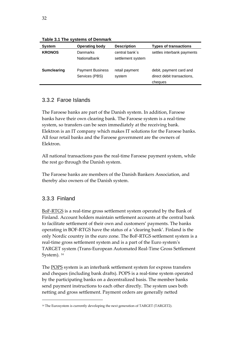| <b>System</b>      | <b>Operating body</b>                     | <b>Description</b>                  | <b>Types of transactions</b>                                     |
|--------------------|-------------------------------------------|-------------------------------------|------------------------------------------------------------------|
| <b>KRONOS</b>      | Danmarks<br>Nationalbank                  | central bank's<br>settlement system | settles interbank payments                                       |
| <b>Sumclearing</b> | <b>Payment Business</b><br>Services (PBS) | retail payment<br>system            | debit, payment card and<br>direct debit transactions.<br>cheques |

**Table 3.1 The systems of Denmark** 

# 3.3.2 Faroe Islands

The Faroese banks are part of the Danish system. In addition, Faroese banks have their own clearing bank. The Faroese system is a real‐time system, so transfers can be seen immediately at the receiving bank. Elektron is an IT company which makes IT solutions for the Faroese banks. All four retail banks and the Faroese government are the owners of Elektron.

All national transactions pass the real-time Faroese payment system, while the rest go through the Danish system.

The Faroese banks are members of the Danish Bankers Association, and thereby also owners of the Danish system.

## 3.3.3 Finland

<u> 1989 - Johann Barn, mars eta bainar eta industrial eta bainar eta baina eta baina eta baina eta baina eta ba</u>

BoF-RTGS is a real-time gross settlement system operated by the Bank of Finland. Account holders maintain settlement accounts at the central bank to facilitate settlement of their own and customers' payments. The banks operating in BOF‐RTGS have the status of a 'clearing bank'. Finland is the only Nordic country in the euro zone. The BoF‐RTGS settlement system is a real-time gross settlement system and is a part of the Euro system's TARGET system (Trans‐European Automated Real‐Time Gross Settlement System). <sup>[14](#page-31-0)</sup>

The POPS system is an interbank settlement system for express transfers and cheques (including bank drafts). POPS is a real‐time system operated by the participating banks on a decentralized basis. The member banks send payment instructions to each other directly. The system uses both netting and gross settlement. Payment orders are generally netted

<span id="page-31-0"></span><sup>&</sup>lt;sup>14</sup> The Eurosystem is currently developing the next generation of TARGET (TARGET2).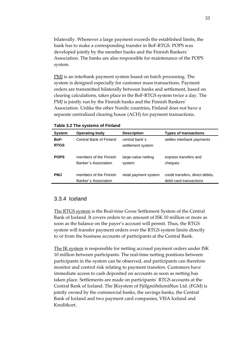bilaterally. Whenever a large payment exceeds the established limits, the bank has to make a corresponding transfer in BoF‐RTGS. POPS was developed jointly by the member banks and the Finnish Bankers´ Association. The banks are also responsible for maintenance of the POPS system.

PMJ is an interbank payment system based on batch processing. The system is designed especially for customer mass transactions. Payment orders are transmitted bilaterally between banks and settlement, based on clearing calculations, takes place in the BoF‐RTGS system twice a day. The PMJ is jointly run by the Finnish banks and the Finnish Bankersʹ Association. Unlike the other Nordic countries, Finland does not have a separate centralized clearing house (ACH) for payment transactions.

| <b>System</b>       | <b>Operating body</b>                          | <b>Description</b>                  | <b>Types of transactions</b>                                |
|---------------------|------------------------------------------------|-------------------------------------|-------------------------------------------------------------|
| BoF-<br><b>RTGS</b> | Central Bank of Finland                        | central bank's<br>settlement system | settles interbank payments                                  |
| <b>POPS</b>         | members of the Finnish<br>Banker's Association | large-value netting<br>system       | express transfers and<br>cheques                            |
| <b>PMJ</b>          | members of the Finnish<br>Banker's Association | retail payment system               | credit transfers, direct debits,<br>debit card transactions |

**Table 3.2 The systems of Finland** 

#### 3.3.4 Iceland

The RTGS system is the Real-time Gross Settlement System of the Central Bank of Iceland. It covers orders to an amount of ISK 10 million or more as soon as the balance on the payer's account will permit. Thus, the RTGS system will transfer payment orders over the RTGS system limits directly to or from the business accounts of participants at the Central Bank.

The JK system is responsible for netting accrued payment orders under ISK 10 million between participants. The real-time netting positions between participants in the system can be observed, and participants can therefore monitor and control risk relating to payment transfers. Customers have immediate access to cash deposited on accounts as soon as netting has taken place. Settlements are made on participants´ RTGS accounts at the Central Bank of Iceland. The JKsystem of Fjölgreiðslumiðlun Ltd. (FGM) is jointly owned by the commercial banks, the savings banks, the Central Bank of Iceland and two payment card companies, VISA Iceland and Kreditkort.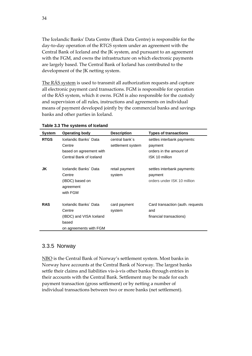The Icelandic Banksʹ Data Centre (Bank Data Centre) is responsible for the day‐to‐day operation of the RTGS system under an agreement with the Central Bank of Iceland and the JK system, and pursuant to an agreement with the FGM, and owns the infrastructure on which electronic payments are largely based. The Central Bank of Iceland has contributed to the development of the JK netting system.

The RÁS system is used to transmit all authorization requests and capture all electronic payment card transactions. FGM is responsible for operation of the RÁS system, which it owns. FGM is also responsible for the custody and supervision of all rules, instructions and agreements on individual means of payment developed jointly by the commercial banks and savings banks and other parties in Iceland.

| <b>System</b> | <b>Operating body</b>                                                                         | <b>Description</b>                  | <b>Types of transactions</b>                                                        |
|---------------|-----------------------------------------------------------------------------------------------|-------------------------------------|-------------------------------------------------------------------------------------|
| <b>RTGS</b>   | Icelandic Banks' Data<br>Centre<br>based on agreement with<br>Central Bank of Iceland         | central bank's<br>settlement system | settles interbank payments:<br>payment<br>orders in the amount of<br>ISK 10 million |
| JK            | Icelandic Banks' Data<br>Centre<br>(IBDC) based on<br>agreement<br>with FGM                   | retail payment<br>system            | settles interbank payments:<br>payment<br>orders under ISK 10 million               |
| <b>RAS</b>    | Icelandic Banks' Data<br>Centre<br>(IBDC) and VISA Iceland<br>based<br>on agreements with FGM | card payment<br>system              | Card transaction (auth. requests<br>and<br>financial transactions)                  |

**Table 3.3 The systems of Iceland** 

### 3.3.5 Norway

NBO is the Central Bank of Norway's settlement system. Most banks in Norway have accounts at the Central Bank of Norway. The largest banks settle their claims and liabilities vis‐à‐vis other banks through entries in their accounts with the Central Bank. Settlement may be made for each payment transaction (gross settlement) or by netting a number of individual transactions between two or more banks (net settlement).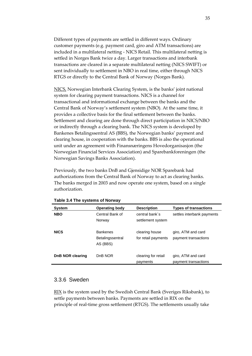Different types of payments are settled in different ways. Ordinary customer payments (e.g. payment card, giro and ATM transactions) are included in a multilateral netting ‐ NICS Retail. This multilateral netting is settled in Norges Bank twice a day. Larger transactions and interbank transactions are cleared in a separate multilateral netting (NICS SWIFT) or sent individually to settlement in NBO in real time, either through NICS RTGS or directly to the Central Bank of Norway (Norges Bank).

NICS, Norwegian Interbank Clearing System, is the banks' joint national system for clearing payment transactions. NICS is a channel for transactional and informational exchange between the banks and the Central Bank of Norway's settlement system (NBO). At the same time, it provides a collective basis for the final settlement between the banks. Settlement and clearing are done through direct participation in NICS/NBO or indirectly through a clearing bank. The NICS system is developed by Bankenes Betalingssentral AS (BBS), the Norwegian banks' payment and clearing house, in cooperation with the banks. BBS is also the operational unit under an agreement with Finansnæringens Hovedorganisasjon (the Norwegian Financial Services Association) and Sparebankforeningen (the Norwegian Savings Banks Association).

Previously, the two banks DnB and Gjensidige NOR Sparebank had authorizations from the Central Bank of Norway to act as clearing banks. The banks merged in 2003 and now operate one system, based on a single authorization.

| <b>System</b>    | <b>Operating body</b>                           | <b>Description</b>                    | <b>Types of transactions</b>               |
|------------------|-------------------------------------------------|---------------------------------------|--------------------------------------------|
| <b>NBO</b>       | Central Bank of<br>Norway                       | central bank's<br>settlement system   | settles interbank payments                 |
| <b>NICS</b>      | <b>Bankenes</b><br>Betalingssentral<br>AS (BBS) | clearing house<br>for retail payments | giro, ATM and card<br>payment transactions |
| DnB NOR clearing | D <sub>n</sub> B NOR                            | clearing for retail<br>payments       | giro, ATM and card<br>payment transactions |

**Table 3.4 The systems of Norway** 

### 3.3.6 Sweden

RIX is the system used by the Swedish Central Bank (Sveriges Riksbank), to settle payments between banks. Payments are settled in RIX on the principle of real‐time gross settlement (RTGS). The settlements usually take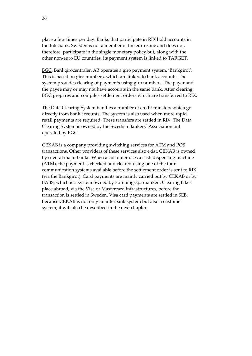place a few times per day. Banks that participate in RIX hold accounts in the Riksbank. Sweden is not a member of the euro zone and does not, therefore, participate in the single monetary policy but, along with the other non‐euro EU countries, its payment system is linked to TARGET.

BGC, Bankgirocentralen AB operates a giro payment system, 'Bankgirot'. This is based on giro numbers, which are linked to bank accounts. The system provides clearing of payments using giro numbers. The payer and the payee may or may not have accounts in the same bank. After clearing, BGC prepares and compiles settlement orders which are transferred to RIX.

The Data Clearing System handles a number of credit transfers which go directly from bank accounts. The system is also used when more rapid retail payments are required. These transfers are settled in RIX. The Data Clearing System is owned by the Swedish Bankers´ Association but operated by BGC.

CEKAB is a company providing switching services for ATM and POS transactions. Other providers of these services also exist. CEKAB is owned by several major banks. When a customer uses a cash dispensing machine (ATM), the payment is checked and cleared using one of the four communication systems available before the settlement order is sent to RIX (via the Bankgirot). Card payments are mainly carried out by CEKAB or by BABS, which is a system owned by Föreningssparbanken. Clearing takes place abroad, via the Visa or Mastercard infrastructures, before the transaction is settled in Sweden. Visa card payments are settled in SEB. Because CEKAB is not only an interbank system but also a customer system, it will also be described in the next chapter.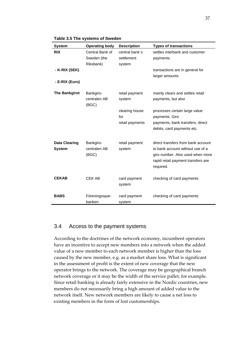| <b>System</b>                         | <b>Operating body</b>              | <b>Description</b>       | <b>Types of transactions</b>                                                                                                                                  |
|---------------------------------------|------------------------------------|--------------------------|---------------------------------------------------------------------------------------------------------------------------------------------------------------|
| <b>RIX</b>                            | Central Bank of                    | central bank's           | settles interbank and customer                                                                                                                                |
|                                       | Sweden (the                        | settlement               | payments:                                                                                                                                                     |
|                                       | Riksbank)                          | system                   |                                                                                                                                                               |
| - K-RIX (SEK)                         |                                    |                          | transactions are in general for                                                                                                                               |
|                                       |                                    |                          | larger amounts                                                                                                                                                |
| - E-RIX (Euro)                        |                                    |                          |                                                                                                                                                               |
| <b>The Bankgirot</b>                  | Bankgiro-<br>centralen AB<br>(BGC) | retail payment<br>system | mainly clears and settles retail<br>payments, but also                                                                                                        |
|                                       |                                    | clearing house<br>for    | processes certain large value<br>payments. Giro                                                                                                               |
|                                       |                                    | retail payments          | payments, bank transfers, direct<br>debits, card payments etc.                                                                                                |
| <b>Data Clearing</b><br><b>System</b> | Bankgiro-<br>centralen AB<br>(BGC) | retail payment<br>system | direct transfers from bank account<br>to bank account without use of a<br>giro number. Also used when more<br>rapid retail payment transfers are<br>required. |
| <b>CEKAB</b>                          | <b>CEK AB</b>                      | card payment<br>system   | checking of card payments                                                                                                                                     |
| <b>BABS</b>                           | Föreningsspar-<br>banken           | card payment<br>system   | checking of card payments                                                                                                                                     |

**Table 3.5 The systems of Sweden** 

## 3.4 Access to the payment systems

According to the doctrines of the network economy, incumbent operators have an incentive to accept new members into a network when the added value of a new member to each network member is higher than the loss caused by the new member, e.g. as a market share loss. What is significant in the assessment of profit is the extent of new coverage that the new operator brings to the network. The coverage may be geographical branch network coverage or it may be the width of the service pallet, for example. Since retail banking is already fairly extensive in the Nordic countries, new members do not necessarily bring a high amount of added value to the network itself. New network members are likely to cause a net loss to existing members in the form of lost customerships.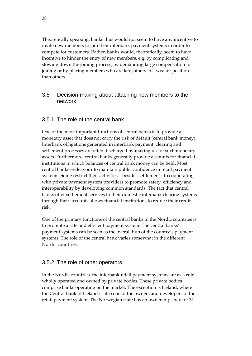Theoretically speaking, banks thus would not seem to have any incentive to invite new members to join their interbank payment systems in order to compete for customers. Rather, banks would, theoretically, seem to have incentive to hinder the entry of new members, e.g. by complicating and slowing down the joining process, by demanding large compensation for joining or by placing members who are late joiners in a weaker position than others.

# 3.5 Decision-making about attaching new members to the network

# 3.5.1 The role of the central bank

One of the most important functions of central banks is to provide a monetary asset that does not carry the risk of default (central bank money). Interbank obligations generated in interbank payment, clearing and settlement processes are often discharged by making use of such monetary assets. Furthermore, central banks generally provide accounts for financial institutions in which balances of central bank money can be held. Most central banks endeavour to maintain public confidence in retail payment systems. Some restrict their activities – besides settlement ‐ to cooperating with private payment system providers to promote safety, efficiency and interoperability by developing common standards. The fact that central banks offer settlement services to their domestic interbank clearing systems through their accounts allows financial institutions to reduce their credit risk.

One of the primary functions of the central banks in the Nordic countries is to promote a safe and efficient payment system. The central banks' payment systems can be seen as the overall hub of the country's payment systems. The role of the central bank varies somewhat in the different Nordic countries.

# 3.5.2 The role of other operators

In the Nordic countries, the interbank retail payment systems are as a rule wholly operated and owned by private bodies. These private bodies comprise banks operating on the market. The exception is Iceland, where the Central Bank of Iceland is also one of the owners and developers of the retail payment system. The Norwegian state has an ownership share of 34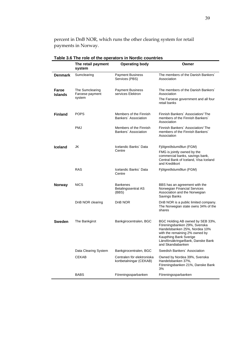percent in DnB NOR, which runs the other clearing system for retail payments in Norway.

|                         | The retail payment<br>system                 | <b>Operating body</b>                                  | Owner                                                                                                                                                                                                                   |
|-------------------------|----------------------------------------------|--------------------------------------------------------|-------------------------------------------------------------------------------------------------------------------------------------------------------------------------------------------------------------------------|
| <b>Denmark</b>          | Sumclearing                                  | <b>Payment Business</b><br>Services (PBS)              | The members of the Danish Bankers'<br>Association                                                                                                                                                                       |
| Faroe<br><b>Islands</b> | The Sumclearing<br>Faroese payment<br>system | <b>Payment Business</b><br>services Elektron           | The members of the Danish Bankers'<br>Association<br>The Faroese government and all four<br>retail banks                                                                                                                |
| <b>Finland</b>          | <b>POPS</b>                                  | Members of the Finnish<br>Bankers' Association         | Finnish Bankers' Association/ The<br>members of the Finnish Bankers'<br>Association                                                                                                                                     |
|                         | <b>PMJ</b>                                   | Members of the Finnish<br>Bankers' Association         | Finnish Bankers' Association/ The<br>members of the Finnish Bankers'<br>Association                                                                                                                                     |
| <b>Iceland</b>          | JK                                           | Icelandic Banks' Data<br>Centre                        | Fjölgreiðslumiðlun (FGM)                                                                                                                                                                                                |
|                         |                                              |                                                        | FMG is jointly owned by the<br>commercial banks, savings bank,<br>Central Bank of Iceland, Visa Iceland<br>and Kreditkort                                                                                               |
|                         | <b>RAS</b>                                   | Icelandic Banks' Data<br>Centre                        | Fjölgreiðslumiðlun (FGM)                                                                                                                                                                                                |
| <b>Norway</b>           | NICS                                         | <b>Bankenes</b><br><b>Betalingssentral AS</b><br>(BBS) | BBS has an agreement with the<br>Norwegian Financial Services<br>Association and the Norwegian<br>Savings Banks                                                                                                         |
|                         | DnB NOR clearing                             | D <sub>n</sub> B NOR                                   | DnB NOR is a public limited company.<br>The Norwegian state owns 34% of the<br>shares                                                                                                                                   |
| <b>Sweden</b>           | The Bankgirot                                | Bankgirocentralen, BGC                                 | BGC Holding AB owned by SEB 33%,<br>Föreningsbanken 29%, Svenska<br>Handelsbanken 25%, Nordea 10%<br>with the remaining 2% owned by<br>Kaupthing Bank Sverige<br>LänsförsäkringarBank, Danske Bank<br>and Skandiabanken |
|                         | Data Clearing System                         | Bankgirocentralen, BGC                                 | Swedish Bankers' Association                                                                                                                                                                                            |
|                         | <b>CEKAB</b>                                 | Centralen för elektroniska<br>kortbetalningar (CEKAB)  | Owned by Nordea 39%, Svenska<br>Handelsbanken 37%,<br>Föreningsbanken 21%, Danske Bank<br>3%                                                                                                                            |
|                         | <b>BABS</b>                                  | Föreningssparbanken                                    | Föreningssparbanken                                                                                                                                                                                                     |

**Table 3.6 The role of the operators in Nordic countries**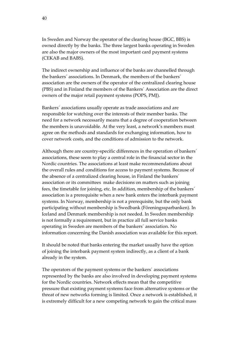In Sweden and Norway the operator of the clearing house (BGC, BBS) is owned directly by the banks. The three largest banks operating in Sweden are also the major owners of the most important card payment systems (CEKAB and BABS).

The indirect ownership and influence of the banks are channelled through the bankers´ associations. In Denmark, the members of the bankers´ association are the owners of the operator of the centralized clearing house (PBS) and in Finland the members of the Bankers´ Association are the direct owners of the major retail payment systems (POPS, PMJ).

Bankers´ associations usually operate as trade associations and are responsible for watching over the interests of their member banks. The need for a network necessarily means that a degree of cooperation between the members is unavoidable. At the very least, a network's members must agree on the methods and standards for exchanging information, how to cover network costs, and the conditions of admission to the network.

Although there are country-specific differences in the operation of bankers' associations, these seem to play a central role in the financial sector in the Nordic countries. The associations at least make recommendations about the overall rules and conditions for access to payment systems. Because of the absence of a centralized clearing house, in Finland the bankers´ association or its committees make decisions on matters such as joining fees, the timetable for joining, etc. In addition, membership of the bankers´ association is a prerequisite when a new bank enters the interbank payment systems. In Norway, membership is not a prerequisite, but the only bank participating without membership is Swedbank (Föreningssparbanken). In Iceland and Denmark membership is not needed. In Sweden membership is not formally a requirement, but in practice all full service banks operating in Sweden are members of the bankers´ association. No information concerning the Danish association was available for this report.

It should be noted that banks entering the market usually have the option of joining the interbank payment system indirectly, as a client of a bank already in the system.

The operators of the payment systems or the bankers´ associations represented by the banks are also involved in developing payment systems for the Nordic countries. Network effects mean that the competitive pressure that existing payment systems face from alternative systems or the threat of new networks forming is limited. Once a network is established, it is extremely difficult for a new competing network to gain the critical mass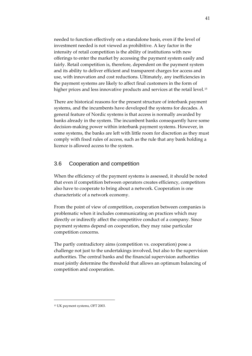needed to function effectively on a standalone basis, even if the level of investment needed is not viewed as prohibitive. A key factor in the intensity of retail competition is the ability of institutions with new offerings to enter the market by accessing the payment system easily and fairly. Retail competition is, therefore, dependent on the payment system and its ability to deliver efficient and transparent charges for access and use, with innovation and cost reductions. Ultimately, any inefficiencies in the payment systems are likely to affect final customers in the form of higher prices and less innovative products and services at the retail level.<sup>[15](#page-40-0)</sup>

There are historical reasons for the present structure of interbank payment systems, and the incumbents have developed the systems for decades. A general feature of Nordic systems is that access is normally awarded by banks already in the system. The incumbent banks consequently have some decision‐making power within interbank payment systems. However, in some systems, the banks are left with little room for discretion as they must comply with fixed rules of access, such as the rule that any bank holding a licence is allowed access to the system.

#### 3.6 Cooperation and competition

When the efficiency of the payment systems is assessed, it should be noted that even if competition between operators creates efficiency, competitors also have to cooperate to bring about a network. Cooperation is one characteristic of a network economy.

From the point of view of competition, cooperation between companies is problematic when it includes communicating on practices which may directly or indirectly affect the competitive conduct of a company. Since payment systems depend on cooperation, they may raise particular competition concerns.

The partly contradictory aims (competition vs. cooperation) pose a challenge not just to the undertakings involved, but also to the supervision authorities. The central banks and the financial supervision authorities must jointly determine the threshold that allows an optimum balancing of competition and cooperation.

41

<span id="page-40-0"></span><sup>15</sup> UK payment systems, OFT 2003.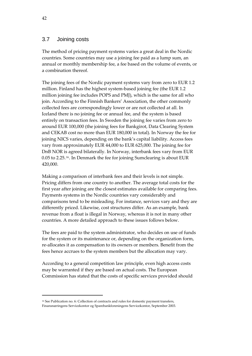#### 3.7 Joining costs

The method of pricing payment systems varies a great deal in the Nordic countries. Some countries may use a joining fee paid as a lump sum, an annual or monthly membership fee, a fee based on the volume of events, or a combination thereof.

The joining fees of the Nordic payment systems vary from zero to EUR 1.2 million. Finland has the highest system‐based joining fee (the EUR 1.2 million joining fee includes POPS and PMJ), which is the same for all who join. According to the Finnish Bankers' Association, the other commonly collected fees are correspondingly lower or are not collected at all. In Iceland there is no joining fee or annual fee, and the system is based entirely on transaction fees. In Sweden the joining fee varies from zero to around EUR 100,000 (the joining fees for Bankgirot, Data Clearing System and CEKAB cost no more than EUR 180,000 in total). In Norway the fee for joining NICS varies, depending on the bank's capital liability. Access fees vary from approximately EUR 44,000 to EUR 625,000. The joining fee for DnB NOR is agreed bilaterally. In Norway, interbank fees vary from EUR 0.05 to 2.25. [16](#page-41-0). In Denmark the fee for joining Sumclearing is about EUR 420,000.

Making a comparison of interbank fees and their levels is not simple. Pricing differs from one country to another. The average total costs for the first year after joining are the closest estimates available for comparing fees. Payments systems in the Nordic countries vary considerably and comparisons tend to be misleading. For instance, services vary and they are differently priced. Likewise, cost structures differ. As an example, bank revenue from a float is illegal in Norway, whereas it is not in many other countries. A more detailed approach to these issues follows below.

The fees are paid to the system administrator, who decides on use of funds for the system or its maintenance or, depending on the organization form, re‐allocates it as compensation to its owners or members. Benefit from the fees hence accrues to the system members but the allocation may vary.

According to a general competition law principle, even high access costs may be warranted if they are based on actual costs. The European Commission has stated that the costs of specific services provided should

<span id="page-41-0"></span><sup>16</sup> See Publication no. 6: Collection of contracts and rules for domestic payment transfers, Finansnæringens Servicekontor og Sparebankforeningens Servicekontor, September 2003.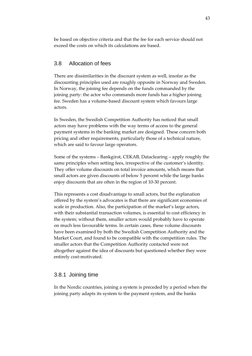be based on objective criteria and that the fee for each service should not exceed the costs on which its calculations are based.

# 3.8 Allocation of fees

There are dissimilarities in the discount system as well, insofar as the discounting principles used are roughly opposite in Norway and Sweden. In Norway, the joining fee depends on the funds commanded by the joining party: the actor who commands more funds has a higher joining fee. Sweden has a volume‐based discount system which favours large actors.

In Sweden, the Swedish Competition Authority has noticed that small actors may have problems with the way terms of access to the general payment systems in the banking market are designed. These concern both pricing and other requirements, particularly those of a technical nature, which are said to favour large operators.

Some of the systems – Bankgirot, CEKAB, Dataclearing – apply roughly the same principles when setting fees, irrespective of the customer's identity. They offer volume discounts on total invoice amounts, which means that small actors are given discounts of below 5 percent while the large banks enjoy discounts that are often in the region of 10‐30 percent.

This represents a cost disadvantage to small actors, but the explanation offered by the system's advocates is that there are significant economies of scale in production. Also, the participation of the market's large actors, with their substantial transaction volumes, is essential to cost efficiency in the system; without them, smaller actors would probably have to operate on much less favourable terms. In certain cases, these volume discounts have been examined by both the Swedish Competition Authority and the Market Court, and found to be compatible with the competition rules. The smaller actors that the Competition Authority contacted were not altogether against the idea of discounts but questioned whether they were entirely cost-motivated.

#### 3.8.1 Joining time

In the Nordic countries, joining a system is preceded by a period when the joining party adapts its system to the payment system, and the banks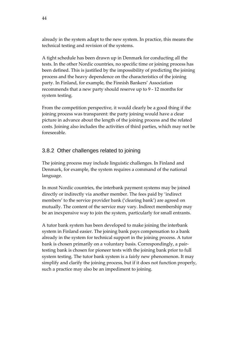already in the system adapt to the new system. In practice, this means the technical testing and revision of the systems.

A tight schedule has been drawn up in Denmark for conducting all the tests. In the other Nordic countries, no specific time or joining process has been defined. This is justified by the impossibility of predicting the joining process and the heavy dependence on the characteristics of the joining party. In Finland, for example, the Finnish Bankers' Association recommends that a new party should reserve up to 9 ‐ 12 months for system testing.

From the competition perspective, it would clearly be a good thing if the joining process was transparent: the party joining would have a clear picture in advance about the length of the joining process and the related costs. Joining also includes the activities of third parties, which may not be foreseeable.

# 3.8.2 Other challenges related to joining

The joining process may include linguistic challenges. In Finland and Denmark, for example, the system requires a command of the national language.

In most Nordic countries, the interbank payment systems may be joined directly or indirectly via another member. The fees paid by 'indirect members' to the service provider bank ('clearing bank') are agreed on mutually. The content of the service may vary. Indirect membership may be an inexpensive way to join the system, particularly for small entrants.

A tutor bank system has been developed to make joining the interbank system in Finland easier. The joining bank pays compensation to a bank already in the system for technical support in the joining process. A tutor bank is chosen primarily on a voluntary basis. Correspondingly, a pair‐ testing bank is chosen for pioneer tests with the joining bank prior to full system testing. The tutor bank system is a fairly new phenomenon. It may simplify and clarify the joining process, but if it does not function properly, such a practice may also be an impediment to joining.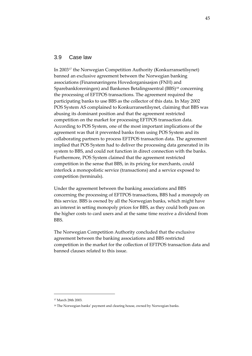#### 3.9 Case law

In 2003[17](#page-44-0) the Norwegian Competition Authority (Konkurransetilsynet) banned an exclusive agreement between the Norwegian banking associations (Finansnæringens Hovedorganisasjon (FNH) and Sparebankforeningen) and Bankenes Betalingssentral (BBS)<sup>[18](#page-44-1)</sup> concerning the processing of EFTPOS transactions. The agreement required the participating banks to use BBS as the collector of this data. In May 2002 POS System AS complained to Konkurransetilsynet, claiming that BBS was abusing its dominant position and that the agreement restricted competition on the market for processing EFTPOS transaction data. According to POS System, one of the most important implications of the agreement was that it prevented banks from using POS System and its collaborating partners to process EFTPOS transaction data. The agreement implied that POS System had to deliver the processing data generated in its system to BBS, and could not function in direct connection with the banks. Furthermore, POS System claimed that the agreement restricted competition in the sense that BBS, in its pricing for merchants, could interlock a monopolistic service (transactions) and a service exposed to competition (terminals).

Under the agreement between the banking associations and BBS concerning the processing of EFTPOS transactions, BBS had a monopoly on this service. BBS is owned by all the Norwegian banks, which might have an interest in setting monopoly prices for BBS, as they could both pass on the higher costs to card users and at the same time receive a dividend from BBS.

The Norwegian Competition Authority concluded that the exclusive agreement between the banking associations and BBS restricted competition in the market for the collection of EFTPOS transaction data and banned clauses related to this issue.

<span id="page-44-1"></span><span id="page-44-0"></span><sup>17</sup> March 28th 2003.

<sup>&</sup>lt;sup>18</sup> The Norwegian banks' payment and clearing house, owned by Norwegian banks.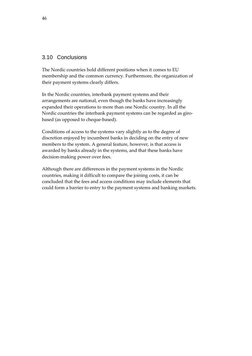#### 3.10 Conclusions

The Nordic countries hold different positions when it comes to EU membership and the common currency. Furthermore, the organization of their payment systems clearly differs.

In the Nordic countries, interbank payment systems and their arrangements are national, even though the banks have increasingly expanded their operations to more than one Nordic country. In all the Nordic countries the interbank payment systems can be regarded as girobased (as opposed to cheque‐based).

Conditions of access to the systems vary slightly as to the degree of discretion enjoyed by incumbent banks in deciding on the entry of new members to the system. A general feature, however, is that access is awarded by banks already in the systems, and that these banks have decision‐making power over fees.

Although there are differences in the payment systems in the Nordic countries, making it difficult to compare the joining costs, it can be concluded that the fees and access conditions may include elements that could form a barrier to entry to the payment systems and banking markets.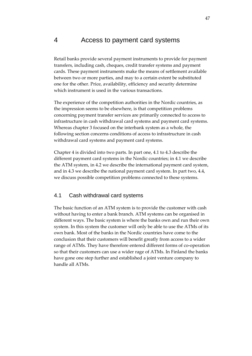# 4 Access to payment card systems

Retail banks provide several payment instruments to provide for payment transfers, including cash, cheques, credit transfer systems and payment cards. These payment instruments make the means of settlement available between two or more parties, and may to a certain extent be substituted one for the other. Price, availability, efficiency and security determine which instrument is used in the various transactions.

The experience of the competition authorities in the Nordic countries, as the impression seems to be elsewhere, is that competition problems concerning payment transfer services are primarily connected to access to infrastructure in cash withdrawal card systems and payment card systems. Whereas chapter 3 focused on the interbank system as a whole, the following section concerns conditions of access to infrastructure in cash withdrawal card systems and payment card systems.

Chapter 4 is divided into two parts. In part one, 4.1 to 4.3 describe the different payment card systems in the Nordic countries; in 4.1 we describe the ATM system, in 4.2 we describe the international payment card system, and in 4.3 we describe the national payment card system. In part two, 4.4, we discuss possible competition problems connected to these systems.

#### 4.1 Cash withdrawal card systems

The basic function of an ATM system is to provide the customer with cash without having to enter a bank branch. ATM systems can be organised in different ways. The basic system is where the banks own and run their own system. In this system the customer will only be able to use the ATMs of its own bank. Most of the banks in the Nordic countries have come to the conclusion that their customers will benefit greatly from access to a wider range of ATMs. They have therefore entered different forms of co-operation so that their customers can use a wider rage of ATMs. In Finland the banks have gone one step further and established a joint venture company to handle all ATMs.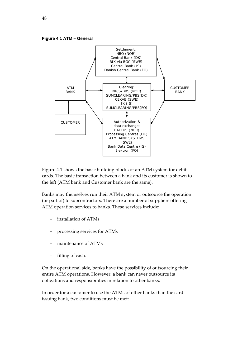



Figure 4.1 shows the basic building blocks of an ATM system for debit cards. The basic transaction between a bank and its customer is shown to the left (ATM bank and Customer bank are the same).

Banks may themselves run their ATM system or outsource the operation (or part of) to subcontractors. There are a number of suppliers offering ATM operation services to banks. These services include:

- − installation of ATMs
- − processing services for ATMs
- maintenance of ATMs
- filling of cash.

On the operational side, banks have the possibility of outsourcing their entire ATM operations. However, a bank can never outsource its obligations and responsibilities in relation to other banks.

In order for a customer to use the ATMs of other banks than the card issuing bank, two conditions must be met: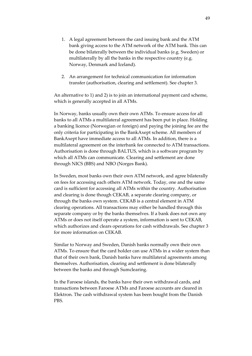- 1. A legal agreement between the card issuing bank and the ATM bank giving access to the ATM network of the ATM bank. This can be done bilaterally between the individual banks (e.g. Sweden) or multilaterally by all the banks in the respective country (e.g. Norway, Denmark and Iceland).
- 2. An arrangement for technical communication for information transfer (authorisation, clearing and settlement). See chapter 3.

An alternative to 1) and 2) is to join an international payment card scheme, which is generally accepted in all ATMs.

In Norway, banks usually own their own ATMs. To ensure access for all banks to all ATMs a multilateral agreement has been put in place. Holding a banking licence (Norwegian or foreign) and paying the joining fee are the only criteria for participating in the BankAxept scheme. All members of BankAxept have immediate access to all ATMs. In addition, there is a multilateral agreement on the interbank fee connected to ATM transactions. Authorisation is done through BALTUS, which is a software program by which all ATMs can communicate. Clearing and settlement are done through NICS (BBS) and NBO (Norges Bank).

In Sweden, most banks own their own ATM network, and agree bilaterally on fees for accessing each others ATM network. Today, one and the same card is sufficient for accessing all ATMs within the country. Authorisation and clearing is done though CEKAB, a separate clearing company, or through the banks own system. CEKAB is a central element in ATM clearing operations. All transactions may either be handled through this separate company or by the banks themselves. If a bank does not own any ATMs or does not itself operate a system, information is sent to CEKAB, which authorizes and clears operations for cash withdrawals. See chapter 3 for more information on CEKAB.

Similar to Norway and Sweden, Danish banks normally own their own ATMs. To ensure that the card holder can use ATMs in a wider system than that of their own bank, Danish banks have multilateral agreements among themselves. Authorisation, clearing and settlement is done bilaterally between the banks and through Sumclearing.

In the Faroese islands, the banks have their own withdrawal cards, and transactions between Faroese ATMs and Faroese accounts are cleared in Elektron. The cash withdrawal system has been bought from the Danish PBS.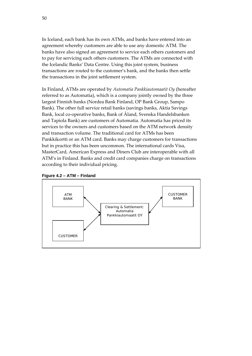In Iceland, each bank has its own ATMs, and banks have entered into an agreement whereby customers are able to use any domestic ATM. The banks have also signed an agreement to service each others customers and to pay for servicing each others customers. The ATMs are connected with the Icelandic Banks' Data Centre. Using this joint system, business transactions are routed to the customer's bank, and the banks then settle the transactions in the joint settlement system.

In Finland, ATMs are operated by *Automatia Pankkiautomaatit Oy* (hereafter referred to as Automatia), which is a company jointly owned by the three largest Finnish banks (Nordea Bank Finland, OP Bank Group, Sampo Bank). The other full service retail banks (savings banks, Aktia Savings Bank, local co‐operative banks, Bank of Åland, Svenska Handelsbanken and Tapiola Bank) are customers of Automatia. Automatia has priced its services to the owners and customers based on the ATM network density and transaction volume. The traditional card for ATMs has been Pankkikortti or an ATM card. Banks may charge customers for transactions but in practice this has been uncommon. The international cards Visa, MasterCard, American Express and Diners Club are interoperable with all ATM's in Finland. Banks and credit card companies charge on transactions according to their individual pricing.



#### **Figure 4.2 – ATM – Finland**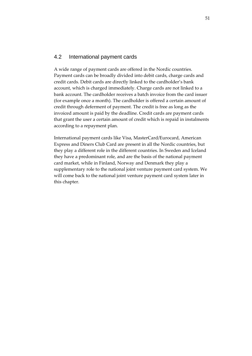#### 4.2 International payment cards

A wide range of payment cards are offered in the Nordic countries. Payment cards can be broadly divided into debit cards, charge cards and credit cards. Debit cards are directly linked to the cardholder's bank account, which is charged immediately. Charge cards are not linked to a bank account. The cardholder receives a batch invoice from the card issuer (for example once a month). The cardholder is offered a certain amount of credit through deferment of payment. The credit is free as long as the invoiced amount is paid by the deadline. Credit cards are payment cards that grant the user a certain amount of credit which is repaid in instalments according to a repayment plan.

International payment cards like Visa, MasterCard/Eurocard, American Express and Diners Club Card are present in all the Nordic countries, but they play a different role in the different countries. In Sweden and Iceland they have a predominant role, and are the basis of the national payment card market, while in Finland, Norway and Denmark they play a supplementary role to the national joint venture payment card system. We will come back to the national joint venture payment card system later in this chapter.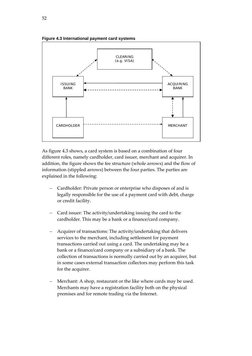

As figure 4.3 shows, a card system is based on a combination of four different roles, namely cardholder, card issuer, merchant and acquirer. In addition, the figure shows the fee structure (whole arrows) and the flow of information (stippled arrows) between the four parties. The parties are explained in the following:

- − Cardholder: Private person or enterprise who disposes of and is legally responsible for the use of a payment card with debt, charge or credit facility.
- − Card issuer: The activity/undertaking issuing the card to the cardholder. This may be a bank or a finance/card company.
- − Acquirer of transactions: The activity/undertaking that delivers services to the merchant, including settlement for payment transactions carried out using a card. The undertaking may be a bank or a finance/card company or a subsidiary of a bank. The collection of transactions is normally carried out by an acquirer, but in some cases external transaction collectors may perform this task for the acquirer.
- Merchant: A shop, restaurant or the like where cards may be used. Merchants may have a registration facility both on the physical premises and for remote trading via the Internet.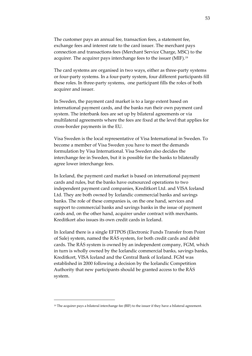The customer pays an annual fee, transaction fees, a statement fee, exchange fees and interest rate to the card issuer. The merchant pays connection and transactions fees (Merchant Service Charge, MSC) to the acquirer. The acquirer pays interchange fees to the issuer (MIF).[19](#page-52-0)

The card systems are organised in two ways, either as three‐party systems or four‐party systems. In a four‐party system, four different participants fill these roles. In three‐party systems, one participant fills the roles of both acquirer and issuer.

In Sweden, the payment card market is to a large extent based on international payment cards, and the banks run their own payment card system. The interbank fees are set up by bilateral agreements or via multilateral agreements where the fees are fixed at the level that applies for cross‐border payments in the EU.

Visa Sweden is the local representative of Visa International in Sweden. To become a member of Visa Sweden you have to meet the demands formulation by Visa International. Visa Sweden also decides the interchange fee in Sweden, but it is possible for the banks to bilaterally agree lower interchange fees.

In Iceland, the payment card market is based on international payment cards and rules, but the banks have outsourced operations to two independent payment card companies, Kreditkort Ltd. and VISA Iceland Ltd. They are both owned by Icelandic commercial banks and savings banks. The role of these companies is, on the one hand, services and support to commercial banks and savings banks in the issue of payment cards and, on the other hand, acquirer under contract with merchants. Kreditkort also issues its own credit cards in Iceland.

In Iceland there is a single EFTPOS (Electronic Funds Transfer from Point of Sale) system, named the RÁS system, for both credit cards and debit cards. The RÁS system is owned by an independent company, FGM, which in turn is wholly owned by the Icelandic commercial banks, savings banks, Kreditkort, VISA Iceland and the Central Bank of Iceland. FGM was established in 2000 following a decision by the Icelandic Competition Authority that new participants should be granted access to the RÁS system.

<span id="page-52-0"></span><sup>&</sup>lt;sup>19</sup> The acquirer pays a bilateral interchange fee (BIF) to the issuer if they have a bilateral agreement.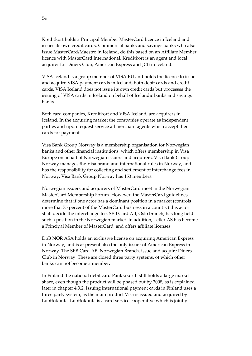Kreditkort holds a Principal Member MasterCard licence in Iceland and issues its own credit cards. Commercial banks and savings banks who also issue MasterCard/Maestro in Iceland, do this based on an Affiliate Member licence with MasterCard International. Kreditkort is an agent and local acquirer for Diners Club, American Express and JCB in Iceland.

VISA Iceland is a group member of VISA EU and holds the licence to issue and acquire VISA payment cards in Iceland, both debit cards and credit cards. VISA Iceland does not issue its own credit cards but processes the issuing of VISA cards in Iceland on behalf of Icelandic banks and savings banks.

Both card companies, Kreditkort and VISA Iceland, are acquirers in Iceland. In the acquiring market the companies operate as independent parties and upon request service all merchant agents which accept their cards for payment.

Visa Bank Group Norway is a membership organisation for Norwegian banks and other financial institutions, which offers membership in Visa Europe on behalf of Norwegian issuers and acquirers. Visa Bank Group Norway manages the Visa brand and international rules in Norway, and has the responsibility for collecting and settlement of interchange fees in Norway. Visa Bank Group Norway has 153 members.

Norwegian issuers and acquirers of MasterCard meet in the Norwegian MasterCard Membership Forum. However, the MasterCard guidelines determine that if one actor has a dominant position in a market (controls more that 75 percent of the MasterCard business in a country) this actor shall decide the interchange fee. SEB Card AB, Oslo branch, has long held such a position in the Norwegian market. In addition, Teller AS has become a Principal Member of MasterCard, and offers affiliate licenses.

DnB NOR ASA holds an exclusive license on acquiring American Express in Norway, and is at present also the only issuer of American Express in Norway. The SEB Card AB, Norwegian Branch, issue and acquire Diners Club in Norway. These are closed three party systems, of which other banks can not become a member.

In Finland the national debit card Pankkikortti still holds a large market share, even though the product will be phased out by 2008, as is explained later in chapter 4.3.2. Issuing international payment cards in Finland uses a three party system, as the main product Visa is issued and acquired by Luottokunta. Luottokunta is a card service cooperative which is jointly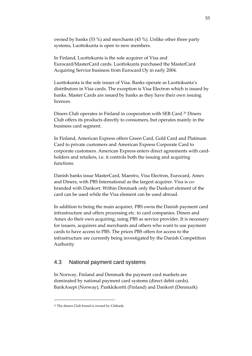owned by banks (53 %) and merchants (43 %). Unlike other three party systems, Luottokunta is open to new members.

In Finland, Luottokunta is the sole acquirer of Visa and Eurocard/MasterCard cards. Luottokunta purchased the MasterCard Acquiring Service business from Eurocard Oy in early 2004.

Luottokunta is the sole issuer of Visa. Banks operate as Luottokunta's distributors in Visa cards. The exception is Visa Electron which is issued by banks. Master Cards are issued by banks as they have their own issuing licences.

Diners Club operates in Finland in cooperation with SEB Card.[20](#page-54-0) Diners Club offers its products directly to consumers, but operates mainly in the business card segment.

In Finland, American Express offers Green Card, Gold Card and Platinum Card to private customers and American Express Corporate Card to corporate customers. American Express enters direct agreements with cardholders and retailers, i.e. it controls both the issuing and acquiring functions.

Danish banks issue MasterCard, Maestro, Visa Electron, Eurocard, Amex and Diners, with PBS International as the largest acquirer. Visa is cobranded with Dankort. Within Denmark only the Dankort element of the card can be used while the Visa element can be used abroad.

In addition to being the main acquirer, PBS owns the Danish payment card infrastructure and offers processing etc. to card companies. Diners and Amex do their own acquiring, using PBS as service provider. It is necessary for issuers, acquirers and merchants and others who want to use payment cards to have access to PBS. The prices PBS offers for access to the infrastructure are currently being investigated by the Danish Competition Authority

#### 4.3 National payment card systems

In Norway, Finland and Denmark the payment card markets are dominated by national payment card systems (direct debit cards). BankAxept (Norway), Pankkikortti (Finland) and Dankort (Denmark)

<span id="page-54-0"></span><sup>20</sup> The diners Club brand is owned by Citibank.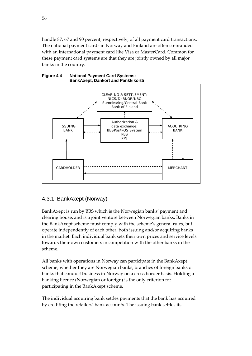handle 87, 67 and 90 percent, respectively, of all payment card transactions. The national payment cards in Norway and Finland are often co-branded with an international payment card like Visa or MasterCard. Common for these payment card systems are that they are jointly owned by all major banks in the country.





# 4.3.1 BankAxept (Norway)

BankAxept is run by BBS which is the Norwegian banks' payment and clearing house, and is a joint venture between Norwegian banks. Banks in the BankAxept scheme must comply with the scheme's general rules, but operate independently of each other, both issuing and/or acquiring banks in the market. Each individual bank sets their own prices and service levels towards their own customers in competition with the other banks in the scheme.

All banks with operations in Norway can participate in the BankAxept scheme, whether they are Norwegian banks, branches of foreign banks or banks that conduct business in Norway on a cross border basis. Holding a banking licence (Norwegian or foreign) is the only criterion for participating in the BankAxept scheme.

The individual acquiring bank settles payments that the bank has acquired by crediting the retailers' bank accounts. The issuing bank settles its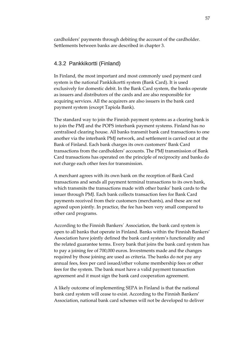cardholders' payments through debiting the account of the cardholder. Settlements between banks are described in chapter 3.

#### 4.3.2 Pankkikortti (Finland)

In Finland, the most important and most commonly used payment card system is the national Pankkikortti system (Bank Card). It is used exclusively for domestic debit. In the Bank Card system, the banks operate as issuers and distributors of the cards and are also responsible for acquiring services. All the acquirers are also issuers in the bank card payment system (except Tapiola Bank).

The standard way to join the Finnish payment systems as a clearing bank is to join the PMJ and the POPS interbank payment systems. Finland has no centralised clearing house. All banks transmit bank card transactions to one another via the interbank PMJ network, and settlement is carried out at the Bank of Finland. Each bank charges its own customers' Bank Card transactions from the cardholders' accounts. The PMJ transmission of Bank Card transactions has operated on the principle of reciprocity and banks do not charge each other fees for transmission.

A merchant agrees with its own bank on the reception of Bank Card transactions and sends all payment terminal transactions to its own bank, which transmits the transactions made with other banks' bank cards to the issuer through PMJ. Each bank collects transaction fees for Bank Card payments received from their customers (merchants), and these are not agreed upon jointly. In practice, the fee has been very small compared to other card programs.

According to the Finnish Bankers´ Association, the bank card system is open to all banks that operate in Finland. Banks within the Finnish Bankers' Association have jointly defined the bank card system's functionality and the related guarantee terms. Every bank that joins the bank card system has to pay a joining fee of 700,000 euros. Investments made and the changes required by those joining are used as criteria. The banks do not pay any annual fees, fees per card issued/other volume membership fees or other fees for the system. The bank must have a valid payment transaction agreement and it must sign the bank card cooperation agreement.

A likely outcome of implementing SEPA in Finland is that the national bank card system will cease to exist. According to the Finnish Bankers' Association, national bank card schemes will not be developed to deliver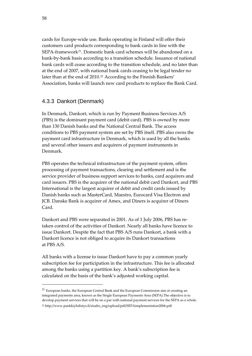cards for Europe‐wide use. Banks operating in Finland will offer their customers card products corresponding to bank cards in line with the SEPA-framework<sup>[21](#page-57-0)</sup>. Domestic bank card schemes will be abandoned on a bank‐by‐bank basis according to a transition schedule. Issuance of national bank cards will cease according to the transition schedule, and no later than at the end of 2007, with national bank cards ceasing to be legal tender no later than at the end of 2010.<sup>[22](#page-57-1)</sup> According to the Finnish Bankers' Association, banks will launch new card products to replace the Bank Card.

### 4.3.3 Dankort (Denmark)

<u> 1989 - Johann Barn, mars ar breithinn ar chuid ann an t-</u>

In Denmark, Dankort, which is run by Payment Business Services A/S (PBS) is the dominant payment card (debit card). PBS is owned by more than 130 Danish banks and the National Central Bank. The access conditions to PBS payment system are set by PBS itself. PBS also owns the payment card infrastructure in Denmark, which is used by all the banks and several other issuers and acquirers of payment instruments in Denmark.

PBS operates the technical infrastructure of the payment system, offers processing of payment transactions, clearing and settlement and is the service provider of business support services to banks, card acquirers and card issuers. PBS is the acquirer of the national debit card Dankort, and PBS International is the largest acquirer of debit and credit cards issued by Danish banks such as MasterCard, Maestro, Eurocard Visa Electron and JCB. Danske Bank is acquirer of Amex, and Diners is acquirer of Diners Card.

Dankort and PBS were separated in 2001. As of 1 July 2006, PBS has re‐ taken control of the activities of Dankort. Nearly all banks have licence to issue Dankort. Despite the fact that PBS A/S runs Dankort, a bank with a Dankort licence is not obliged to acquire its Dankort transactions at PBS A/S.

All banks with a license to issue Dankort have to pay a common yearly subscription fee for participation in the infrastructure. This fee is allocated among the banks using a partition key. A bank's subscription fee is calculated on the basis of the bank's adjusted working capital.

<span id="page-57-0"></span><sup>21</sup> European banks, the European Central Bank and the European Commission aim at creating an integrated payments area, known as the Single European Payments Area (SEPA).The objective is to develop payment services that will be on a par with national payment services for the SEPA as a whole.

<span id="page-57-1"></span><sup>22</sup> http://www.pankkiyhdistys.fi/sisalto\_eng/upload/pdf/SEPAimplementation2006.pdf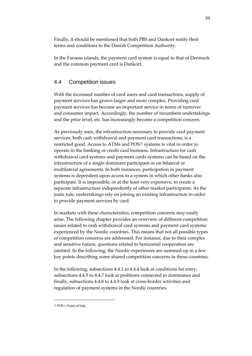Finally, it should be mentioned that both PBS and Dankort notify their terms and conditions to the Danish Competition Authority.

In the Faroese islands, the payment card system is equal to that of Denmark and the common payment card is Dankort.

## 4.4 Competition issues

With the increased number of card users and card transactions, supply of payment services has grown larger and more complex. Providing card payment services has become an important service in terms of turnover and consumer impact. Accordingly, the number of incumbent undertakings and the price level, etc. has increasingly become a competition concern.

As previously seen, the infrastructure necessary to provide card payment services, both cash withdrawal and payment card transactions, is a restricted good. Access to ATMs and POS<sup>[23](#page-58-0)</sup> systems is vital in order to operate in the banking or credit card business. Infrastructure for cash withdrawal card systems and payment cards systems can be based on the infrastructure of a single dominant participant or on bilateral or multilateral agreements. In both instances, participation in payment systems is dependent upon access to a system in which other banks also participate. It is impossible, or at the least very expensive, to create a separate infrastructure independently of other market participants. As the main rule, undertakings rely on joining an existing infrastructure in order to provide payment services by card.

In markets with these characteristics, competition concerns may easily arise. The following chapter provides an overview of different competition issues related to cash withdrawal card systems and payment card systems experienced by the Nordic countries. This means that not all possible types of competition concerns are addressed. For instance, due to their complex and sensitive nature, questions related to horizontal cooperation are omitted. In the following, the Nordic experiences are summed up in a few key points describing some shared competition concerns in these countries.

In the following, subsections 4.4.1 to 4.4.4 look at conditions for entry, subsections 4.4.5 to 4.4.7 look at problems connected to dominance and finally, subsections 4.4.8 to 4.4.9 look at cross‐border activities and regulation of payment systems in the Nordic countries.

<span id="page-58-0"></span><sup>23</sup> POS = Point of Sale.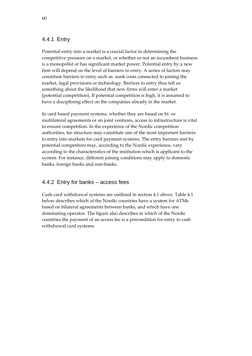### 4.4.1 Entry

Potential entry into a market is a crucial factor in determining the competitive pressure on a market, or whether or not an incumbent business is a monopolist or has significant market power. Potential entry by a new firm will depend on the level of barriers to entry. A series of factors may constitute barriers to entry such as sunk costs connected to joining the market, legal provisions or technology. Barriers to entry thus tell us something about the likelihood that new firms will enter a market (potential competition). If potential competition is high, it is assumed to have a disciplining effect on the companies already in the market.

In card based payment systems, whether they are based on bi‐ or multilateral agreements or on joint ventures, access to infrastructure is vital to ensure competition. In the experience of the Nordic competition authorities, fee structure may constitute one of the most important barriers to entry into markets for card payment systems. The entry barriers met by potential competitors may, according to the Nordic experience, vary according to the characteristics of the institution which is applicant to the system. For instance, different joining conditions may apply to domestic banks, foreign banks and non‐banks.

### 4.4.2 Entry for banks – access fees

Cash card withdrawal systems are outlined in section 4.1 above. Table 4.1 below describes which of the Nordic countries have a system for ATMs based on bilateral agreements between banks, and which have one dominating operator. The figure also describes in which of the Nordic countries the payment of an access fee is a precondition for entry to cash withdrawal card systems: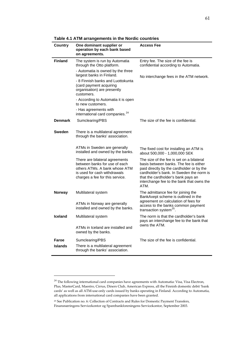|                | $1.1111$ and an $9$ and $1.1$                                                                                                                                       |                                                                                                                                                                                                                                                                         |  |
|----------------|---------------------------------------------------------------------------------------------------------------------------------------------------------------------|-------------------------------------------------------------------------------------------------------------------------------------------------------------------------------------------------------------------------------------------------------------------------|--|
| Country        | One dominant supplier or<br>operation by each bank based<br>on agreements.                                                                                          | Access Fee                                                                                                                                                                                                                                                              |  |
| <b>Finland</b> | The system is run by Automatia<br>through the Otto platform.                                                                                                        | Entry fee. The size of the fee is<br>confidential according to Automatia.                                                                                                                                                                                               |  |
|                | - Automatia is owned by the three<br>largest banks in Finland.                                                                                                      | No interchange fees in the ATM network.                                                                                                                                                                                                                                 |  |
|                | - 8 Finnish banks and Luottokunta<br>(card payment acquiring<br>organisation) are presently<br>customers.                                                           |                                                                                                                                                                                                                                                                         |  |
|                | - According to Automatia it is open<br>to new customers.                                                                                                            |                                                                                                                                                                                                                                                                         |  |
|                | - Has agreements with<br>international card companies. <sup>24</sup>                                                                                                |                                                                                                                                                                                                                                                                         |  |
| <b>Denmark</b> | Sumclearing/PBS                                                                                                                                                     | The size of the fee is confidential.                                                                                                                                                                                                                                    |  |
| Sweden         | There is a multilateral agreement<br>through the banks' association.                                                                                                |                                                                                                                                                                                                                                                                         |  |
|                | ATMs in Sweden are generally<br>installed and owned by the banks.                                                                                                   | The fixed cost for installing an ATM is<br>about 500,000 - 1,000,000 SEK                                                                                                                                                                                                |  |
|                | There are bilateral agreements<br>between banks for use of each<br>others ATMs. A bank whose ATM<br>is used for cash withdrawals<br>charges a fee for this service. | The size of the fee is set on a bilateral<br>basis between banks. The fee is either<br>paid directly by the cardholder or by the<br>cardholder's bank. In Sweden the norm is<br>that the cardholder's bank pays an<br>interchange fee to the bank that owns the<br>ATM. |  |
| <b>Norway</b>  | Multilateral system                                                                                                                                                 | The admittance fee for joining the<br>BankAxept scheme is outlined in the                                                                                                                                                                                               |  |
|                | ATMs in Norway are generally<br>installed and owned by the banks.                                                                                                   | agreement on calculation of fees for<br>access to the banks common payment<br>transaction system <sup>25</sup> .                                                                                                                                                        |  |
| <b>Iceland</b> | Multilateral system                                                                                                                                                 | The norm is that the cardholder's bank<br>pays an interchange fee to the bank that<br>owns the ATM.                                                                                                                                                                     |  |
|                | ATMs in Iceland are installed and<br>owned by the banks.                                                                                                            |                                                                                                                                                                                                                                                                         |  |
| Faroe          | Sumclearing/PBS                                                                                                                                                     | The size of the fee is confidential.                                                                                                                                                                                                                                    |  |
| <b>Islands</b> | There is a multilateral agreement<br>through the banks' association.                                                                                                |                                                                                                                                                                                                                                                                         |  |

**Table 4.1 ATM arrangements in the Nordic countries** 

<span id="page-60-0"></span> $^{24}$  The following international card companies have agreements with Automatia: Visa, Visa Electron, Plus, MasterCard, Maestro, Cirrus, Diners Club, American Express, all the Finnish domestic debit 'bank cards' as well as all ATM‐use‐only cards issued by banks operating in Finland. According to Automatia, all applications from international card companies have been granted.

<span id="page-60-1"></span><sup>25</sup> See Publication no. 6: Collection of Contracts and Rules for Domestic Payment Transfers, Finansnæringens Servicekontor og Sparebankforeningens Servicekontor, September 2003.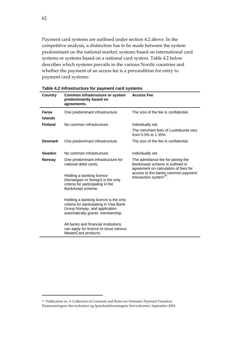Payment card systems are outlined under section 4.2 above. In the competitive analysis, a distinction has to be made between the system predominant on the national market; systems based on international card systems or systems based on a national card system. Table 4.2 below describes which systems prevails in the various Nordic countries and whether the payment of an access fee is a precondition for entry to payment card systems:

| Country        | Common infrastructure or system<br>predominantly based on<br>agreements.                                                                              | <b>Access Fee</b>                                                                                                                                                                         |  |
|----------------|-------------------------------------------------------------------------------------------------------------------------------------------------------|-------------------------------------------------------------------------------------------------------------------------------------------------------------------------------------------|--|
| Faroe          | One predominant infrastructure.                                                                                                                       | The size of the fee is confidential.                                                                                                                                                      |  |
| <b>Islands</b> |                                                                                                                                                       |                                                                                                                                                                                           |  |
| <b>Finland</b> | No common infrastructure.                                                                                                                             | Individually set.                                                                                                                                                                         |  |
|                |                                                                                                                                                       | The merchant fees of Luottokunta vary<br>from 0.3% to 1.35%.                                                                                                                              |  |
| <b>Denmark</b> | One predominant infrastructure.                                                                                                                       | The size of the fee is confidential.                                                                                                                                                      |  |
| Sweden         | No common infrastructure.                                                                                                                             | Individually set.                                                                                                                                                                         |  |
| <b>Norway</b>  | One predominant infrastructure for<br>national debit cards.                                                                                           | The admittance fee for joining the<br>BankAxept scheme is outlined in<br>agreement on calculation of fees for<br>access to the banks common payment<br>transaction system <sup>26</sup> . |  |
|                | Holding a banking licence<br>(Norwegian or foreign) is the only<br>criteria for participating in the<br>BankAxept scheme.                             |                                                                                                                                                                                           |  |
|                | Holding a banking licence is the only<br>criteria for participating in Visa Bank<br>Group Norway, and application<br>automatically grants membership. |                                                                                                                                                                                           |  |
|                | All banks and financial institutions<br>can apply for licence to issue various<br>MasterCard products.                                                |                                                                                                                                                                                           |  |

| Table 4.2 Infrastructure for payment card systems |
|---------------------------------------------------|
|---------------------------------------------------|

<span id="page-61-0"></span><sup>26</sup> Publication no. 6: Collection of Contracts and Rules for Domestic Payment Transfers, Finansnæringens Servicekontor og Sparebankforeningens Servicekontor, September 2003.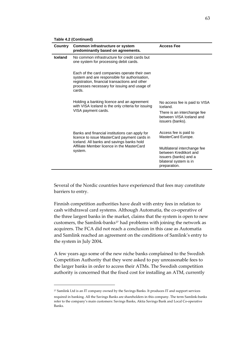| Country        | Common infrastructure or system<br>predominantly based on agreements.                                                                                                                                     | <b>Access Fee</b>                                                                                                                                                        |
|----------------|-----------------------------------------------------------------------------------------------------------------------------------------------------------------------------------------------------------|--------------------------------------------------------------------------------------------------------------------------------------------------------------------------|
| <b>Iceland</b> | No common infrastructure for credit cards but<br>one system for processing debit cards.                                                                                                                   |                                                                                                                                                                          |
|                | Each of the card companies operate their own<br>system and are responsible for authorisation,<br>registration, financial transactions and other<br>processes necessary for issuing and usage of<br>cards. |                                                                                                                                                                          |
|                | Holding a banking licence and an agreement<br>with VISA Iceland is the only criteria for issuing<br>VISA payment cards.                                                                                   | No access fee is paid to VISA<br>Iceland.<br>There is an interchange fee<br>between VISA Iceland and<br>issuers (banks).                                                 |
|                | Banks and financial institutions can apply for<br>licence to issue MasterCard payment cards in<br>Iceland. All banks and savings banks hold<br>Affiliate Member licence in the MasterCard<br>system.      | Access fee is paid to<br>MasterCard Europe.<br>Multilateral interchange fee<br>between Kreditkort and<br>issuers (banks) and a<br>bilateral system is in<br>preparation. |

**Table 4.2 (Continued)** 

Several of the Nordic countries have experienced that fees may constitute barriers to entry.

Finnish competition authorities have dealt with entry fees in relation to cash withdrawal card systems. Although Automatia, the co-operative of the three largest banks in the market, claims that the system is open to new customers, the Samlink-banks<sup>[27](#page-62-0)</sup> had problems with joining the network as acquirers. The FCA did not reach a conclusion in this case as Automatia and Samlink reached an agreement on the conditions of Samlink's entry to the system in July 2004**.**

A few years ago some of the new niche banks complained to the Swedish Competition Authority that they were asked to pay unreasonable fees to the larger banks in order to access their ATMs. The Swedish competition authority is concerned that the fixed cost for installing an ATM, currently

<span id="page-62-0"></span><sup>27</sup> Samlink Ltd is an IT company owned by the Savings Banks. It produces IT and support services

required in banking. All the Savings Banks are shareholders in this company. The term Samlink‐banks refer to the company's main customers: Savings Banks, Aktia Savings Bank and Local Co‐operative Banks.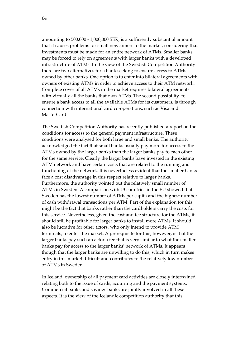amounting to 500,000 ‐ 1,000,000 SEK, is a sufficiently substantial amount that it causes problems for small newcomers to the market, considering that investments must be made for an entire network of ATMs. Smaller banks may be forced to rely on agreements with larger banks with a developed infrastructure of ATMs. In the view of the Swedish Competition Authority there are two alternatives for a bank seeking to ensure access to ATMs owned by other banks. One option is to enter into bilateral agreements with owners of existing ATMs in order to achieve access to their ATM network. Complete cover of all ATMs in the market requires bilateral agreements with virtually all the banks that own ATMs. The second possibility to ensure a bank access to all the available ATMs for its customers, is through connection with international card co-operations, such as Visa and MasterCard.

The Swedish Competition Authority has recently published a report on the conditions for access to the general payment infrastructure. These conditions were analysed for both large and small banks. The authority acknowledged the fact that small banks usually pay more for access to the ATMs owned by the larger banks than the larger banks pay to each other for the same service. Clearly the larger banks have invested in the existing ATM network and have certain costs that are related to the running and functioning of the network. It is nevertheless evident that the smaller banks face a cost disadvantage in this respect relative to larger banks. Furthermore, the authority pointed out the relatively small number of ATMs in Sweden. A comparison with 13 countries in the EU showed that Sweden has the lowest number of ATMs per capita and the highest number of cash withdrawal transactions per ATM. Part of the explanation for this might be the fact that banks rather than the cardholders carry the costs for this service. Nevertheless, given the cost and fee structure for the ATMs, it should still be profitable for larger banks to install more ATMs. It should also be lucrative for other actors, who only intend to provide ATM terminals, to enter the market. A prerequisite for this, however, is that the larger banks pay such an actor a fee that is very similar to what the smaller banks pay for access to the larger banks' network of ATMs. It appears though that the larger banks are unwilling to do this, which in turn makes entry in this market difficult and contributes to the relatively low number of ATMs in Sweden.

In Iceland, ownership of all payment card activities are closely intertwined relating both to the issue of cards, acquiring and the payment systems. Commercial banks and savings banks are jointly involved in all these aspects. It is the view of the Icelandic competition authority that this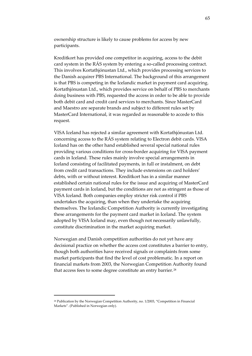ownership structure is likely to cause problems for access by new participants.

Kreditkort has provided one competitor in acquiring, access to the debit card system in the RÁS system by entering a so-called processing contract. This involves Kortathjónustan Ltd., which provides processing services to the Danish acquirer PBS International. The background of this arrangement is that PBS is competing in the Icelandic market in payment card acquiring. Kortathjónustan Ltd., which provides service on behalf of PBS to merchants doing business with PBS, requested the access in order to be able to provide both debit card and credit card services to merchants. Since MasterCard and Maestro are separate brands and subject to different rules set by MasterCard International, it was regarded as reasonable to accede to this request.

VISA Iceland has rejected a similar agreement with Kortathjónustan Ltd. concerning access to the RÁS system relating to Electron debit cards. VISA Iceland has on the other hand established several special national rules providing various conditions for cross‐border acquiring for VISA payment cards in Iceland. These rules mainly involve special arrangements in Iceland consisting of facilitated payments, in full or instalment, on debt from credit card transactions. They include extensions on card holders' debts, with or without interest. Kreditkort has in a similar manner established certain national rules for the issue and acquiring of MasterCard payment cards in Iceland, but the conditions are not as stringent as those of VISA Iceland. Both companies employ stricter risk control if PBS undertakes the acquiring, than when they undertake the acquiring themselves. The Icelandic Competition Authority is currently investigating these arrangements for the payment card market in Iceland. The system adopted by VISA Iceland may, even though not necessarily unlawfully, constitute discrimination in the market acquiring market.

Norwegian and Danish competition authorities do not yet have any decisional practice on whether the access cost constitutes a barrier to entry, though both authorities have received signals or complaints from some market participants that find the level of cost problematic. In a report on financial markets from 2003, the Norwegian Competition Authority found that access fees to some degree constitute an entry barrier.<sup>[28](#page-64-0)</sup>

<span id="page-64-0"></span><sup>28</sup> Publication by the Norwegian Competition Authority, no. 1/2003, "Competition in Financial Markets". (Published in Norwegian only).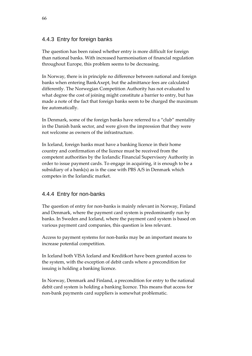# 4.4.3 Entry for foreign banks

The question has been raised whether entry is more difficult for foreign than national banks. With increased harmonisation of financial regulation throughout Europe, this problem seems to be decreasing.

In Norway, there is in principle no difference between national and foreign banks when entering BankAxept, but the admittance fees are calculated differently. The Norwegian Competition Authority has not evaluated to what degree the cost of joining might constitute a barrier to entry, but has made a note of the fact that foreign banks seem to be charged the maximum fee automatically.

In Denmark, some of the foreign banks have referred to a "club" mentality in the Danish bank sector, and were given the impression that they were not welcome as owners of the infrastructure.

In Iceland, foreign banks must have a banking licence in their home country and confirmation of the licence must be received from the competent authorities by the Icelandic Financial Supervisory Authority in order to issue payment cards. To engage in acquiring, it is enough to be a subsidiary of a bank(s) as is the case with PBS A/S in Denmark which competes in the Icelandic market.

# 4.4.4 Entry for non-banks

The question of entry for non-banks is mainly relevant in Norway, Finland and Denmark, where the payment card system is predominantly run by banks. In Sweden and Iceland, where the payment card system is based on various payment card companies, this question is less relevant.

Access to payment systems for non‐banks may be an important means to increase potential competition.

In Iceland both VISA Iceland and Kreditkort have been granted access to the system, with the exception of debit cards where a precondition for issuing is holding a banking licence.

In Norway, Denmark and Finland, a precondition for entry to the national debit card system is holding a banking licence. This means that access for non‐bank payments card suppliers is somewhat problematic.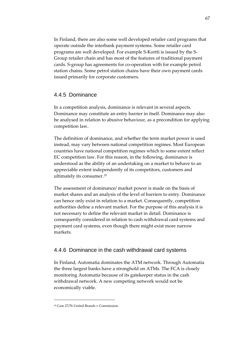In Finland, there are also some well developed retailer card programs that operate outside the interbank payment systems. Some retailer card programs are well developed. For example S‐Kortti is issued by the S‐ Group retailer chain and has most of the features of traditional payment cards. S‐group has agreements for co‐operation with for example petrol station chains. Some petrol station chains have their own payment cards issued primarily for corporate customers.

#### 4.4.5 Dominance

In a competition analysis, dominance is relevant in several aspects. Dominance may constitute an entry barrier in itself. Dominance may also be analysed in relation to abusive behaviour, as a precondition for applying competition law.

The definition of dominance, and whether the term market power is used instead, may vary between national competition regimes. Most European countries have national competition regimes which to some extent reflect EC competition law. For this reason, in the following, dominance is understood as the ability of an undertaking on a market to behave to an appreciable extent independently of its competitors, customers and ultimately its consumer.<sup>[29](#page-66-0)</sup>

The assessment of dominance/ market power is made on the basis of market shares and an analysis of the level of barriers to entry. Dominance can hence only exist in relation to a market. Consequently, competition authorities define a relevant market. For the purpose of this analysis it is not necessary to define the relevant market in detail. Dominance is consequently considered in relation to cash withdrawal card systems and payment card systems, even though there might exist more narrow markets.

### 4.4.6 Dominance in the cash withdrawal card systems

In Finland, Automatia dominates the ATM network. Through Automatia the three largest banks have a stronghold on ATMs. The FCA is closely monitoring Automatia because of its gatekeeper status in the cash withdrawal network. A new competing network would not be economically viable.

<span id="page-66-0"></span><sup>&</sup>lt;u> 1989 - Johann Barn, mars eta bainar eta politikaria (h. 1989).</u> <sup>29</sup> Case 27/76 United Brands v Commission.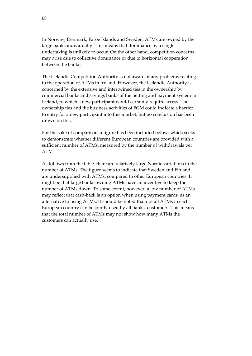In Norway, Denmark, Faroe Islands and Sweden, ATMs are owned by the large banks individually. This means that dominance by a single undertaking is unlikely to occur. On the other hand, competition concerns may arise due to collective dominance or due to horizontal cooperation between the banks.

The Icelandic Competition Authority is not aware of any problems relating to the operation of ATMs in Iceland. However, the Icelandic Authority is concerned by the extensive and intertwined ties in the ownership by commercial banks and savings banks of the netting and payment system in Iceland, to which a new participant would certainly require access. The ownership ties and the business activities of FGM could indicate a barrier to entry for a new participant into this market, but no conclusion has been drawn on this.

For the sake of comparison, a figure has been included below, which seeks to demonstrate whether different European countries are provided with a sufficient number of ATMs, measured by the number of withdrawals per ATM.

As follows from the table, there are relatively large Nordic variations in the number of ATMs. The figure seems to indicate that Sweden and Finland are undersupplied with ATMs, compared to other European countries. It might be that large banks owning ATMs have an incentive to keep the number of ATMs down. To some extent, however, a low number of ATMs may reflect that cash-back is an option when using payment cards, as an alternative to using ATMs. It should be noted that not all ATMs in each European country can be jointly used by all banks' customers. This means that the total number of ATMs may not show how many ATMs the customers can actually use.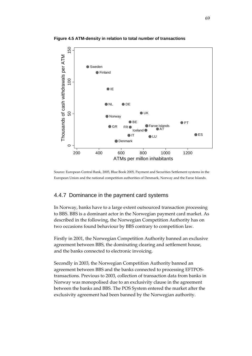

**Figure 4.5 ATM-density in relation to total number of transactions** 

Source: European Central Bank, 2005, Blue Book 2005, Payment and Securities Settlement systems in the European Union and the national competition authorities of Denmark, Norway and the Faroe Islands.

#### 4.4.7 Dominance in the payment card systems

In Norway, banks have to a large extent outsourced transaction processing to BBS. BBS is a dominant actor in the Norwegian payment card market. As described in the following, the Norwegian Competition Authority has on two occasions found behaviour by BBS contrary to competition law.

Firstly in 2001, the Norwegian Competition Authority banned an exclusive agreement between BBS, the dominating clearing and settlement house, and the banks connected to electronic invoicing.

Secondly in 2003, the Norwegian Competition Authority banned an agreement between BBS and the banks connected to processing EFTPOS‐ transactions. Previous to 2003, collection of transaction data from banks in Norway was monopolised due to an exclusivity clause in the agreement between the banks and BBS. The POS System entered the market after the exclusivity agreement had been banned by the Norwegian authority.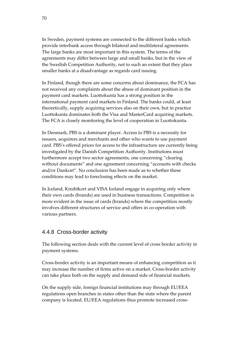In Sweden, payment systems are connected to the different banks which provide interbank access through bilateral and multilateral agreements. The large banks are most important in this system. The terms of the agreements may differ between large and small banks, but in the view of the Swedish Competition Authority, not to such an extent that they place smaller banks at a disadvantage as regards card issuing.

In Finland, though there are some concerns about dominance, the FCA has not received any complaints about the abuse of dominant position in the payment card markets. Luottokunta has a strong position in the international payment card markets in Finland. The banks could, at least theoretically, supply acquiring services also on their own, but in practice Luottokunta dominates both the Visa and MasterCard acquiring markets. The FCA is closely monitoring the level of cooperation in Luottokunta.

In Denmark, PBS is a dominant player. Access to PBS is a necessity for issuers, acquirers and merchants and other who wants to use payment card. PBS's offered prices for access to the infrastructure are currently being investigated by the Danish Competition Authority. Institutions must furthermore accept two sector agreements, one concerning "clearing without documents" and one agreement concerning "accounts with checks and/or Dankort". No conclusion has been made as to whether these conditions may lead to foreclosing effects on the market.

In Iceland, Kreditkort and VISA Iceland engage in acquiring only where their own cards (brands) are used in business transactions. Competition is more evident in the issue of cards (brands) where the competition mostly involves different structures of service and offers in co-operation with various partners.

### 4.4.8 Cross-border activity

The following section deals with the current level of cross border activity in payment systems.

Cross‐border activity is an important means of enhancing competition as it may increase the number of firms active on a market. Cross-border activity can take place both on the supply and demand side of financial markets.

On the supply side, foreign financial institutions may through EU/EEA regulations open branches in states other than the state where the parent company is located. EU/EEA regulations thus promote increased cross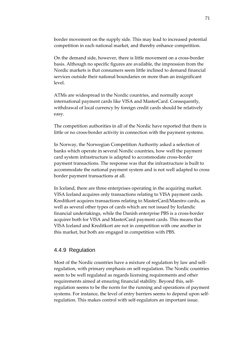border movement on the supply side. This may lead to increased potential competition in each national market, and thereby enhance competition.

On the demand side, however, there is little movement on a cross-border basis. Although no specific figures are available, the impression from the Nordic markets is that consumers seem little inclined to demand financial services outside their national boundaries on more than an insignificant level.

ATMs are widespread in the Nordic countries, and normally accept international payment cards like VISA and MasterCard. Consequently, withdrawal of local currency by foreign credit cards should be relatively easy.

The competition authorities in all of the Nordic have reported that there is little or no cross‐border activity in connection with the payment systems.

In Norway, the Norwegian Competition Authority asked a selection of banks which operate in several Nordic countries, how well the payment card system infrastructure is adapted to accommodate cross‐border payment transactions. The response was that the infrastructure is built to accommodate the national payment system and is not well adapted to cross border payment transactions at all.

In Iceland, there are three enterprises operating in the acquiring market. VISA Iceland acquires only transactions relating to VISA payment cards. Kreditkort acquires transactions relating to MasterCard/Maestro cards, as well as several other types of cards which are not issued by Icelandic financial undertakings, while the Danish enterprise PBS is a cross‐border acquirer both for VISA and MasterCard payment cards. This means that VISA Iceland and Kreditkort are not in competition with one another in this market, but both are engaged in competition with PBS.

#### 4.4.9 Regulation

Most of the Nordic countries have a mixture of regulation by law and selfregulation, with primary emphasis on self‐regulation. The Nordic countries seem to be well regulated as regards licensing requirements and other requirements aimed at ensuring financial stability. Beyond this, self‐ regulation seems to be the norm for the running and operations of payment systems. For instance, the level of entry barriers seems to depend upon selfregulation. This makes control with self‐regulators an important issue.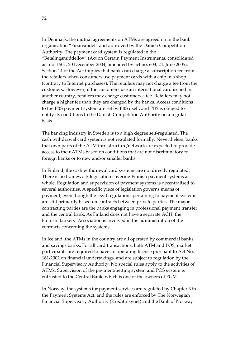In Denmark, the mutual agreements on ATMs are agreed on in the bank organisation "Finansrådet" and approved by the Danish Competition Authority. The payment card system is regulated in the "Betalingsmiddellov" (Act on Certain Payment Instruments, consolidated act no. 1501, 20 December 2004, amended by act no. 603, 24. June 2005). Section 14 of the Act implies that banks can charge a subscription fee from the retailers when consumers use payment cards with a chip in a shop (contrary to Internet purchases). The retailers may not charge a fee from the customers. However, if the customers use an international card issued in another country, retailers may charge customers a fee. Retailers may not charge a higher fee than they are charged by the banks. Access conditions to the PBS payment system are set by PBS itself, and PBS is obliged to notify its conditions to the Danish Competition Authority on a regular basis.

The banking industry in Sweden is to a high degree self‐regulated. The cash withdrawal card system is not regulated formally. Nevertheless, banks that own parts of the ATM infrastructure/network are expected to provide access to their ATMs based on conditions that are not discriminatory to foreign banks or to new and/or smaller banks.

In Finland, the cash withdrawal card systems are not directly regulated. There is no framework legislation covering Finnish payment systems as a whole. Regulation and supervision of payment systems is decentralised to several authorities. A specific piece of legislation governs means of payment, even though the legal regulations pertaining to payment systems are still primarily based on contracts between private parties. The major contracting parties are the banks engaging in professional payment transfer and the central bank. As Finland does not have a separate ACH, the Finnish Bankers´ Association is involved in the administration of the contracts concerning the systems.

In Iceland, the ATMs in the country are all operated by commercial banks and savings banks. For all card transactions, both ATM and POS, market participants are required to have an operating licence pursuant to Act No. 161/2002 on financial undertakings, and are subject to regulation by the Financial Supervisory Authority. No special rules apply to the activities of ATMs. Supervision of the payment/netting system and POS system is entrusted to the Central Bank, which is one of the owners of FGM.

In Norway, the systems for payment services are regulated by Chapter 3 in the Payment Systems Act, and the rules are enforced by The Norwegian Financial Supervisory Authority (Kredittilsynet) and the Bank of Norway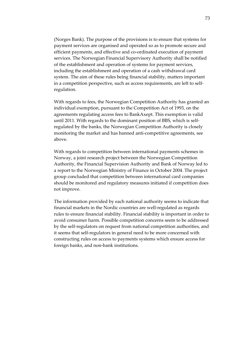(Norges Bank). The purpose of the provisions is to ensure that systems for payment services are organised and operated so as to promote secure and efficient payments, and effective and co-ordinated execution of payment services. The Norwegian Financial Supervisory Authority shall be notified of the establishment and operation of systems for payment services, including the establishment and operation of a cash withdrawal card system. The aim of these rules being financial stability, matters important in a competition perspective, such as access requirements, are left to selfregulation.

With regards to fees, the Norwegian Competition Authority has granted an individual exemption, pursuant to the Competition Act of 1993, on the agreements regulating access fees to BankAxept. This exemption is valid until 2011. With regards to the dominant position of BBS, which is self‐ regulated by the banks, the Norwegian Competition Authority is closely monitoring the market and has banned anti‐competitive agreements, see above.

With regards to competition between international payments schemes in Norway, a joint research project between the Norwegian Competition Authority, the Financial Supervision Authority and Bank of Norway led to a report to the Norwegian Ministry of Finance in October 2004. The project group concluded that competition between international card companies should be monitored and regulatory measures initiated if competition does not improve.

The information provided by each national authority seems to indicate that financial markets in the Nordic countries are well‐regulated as regards rules to ensure financial stability. Financial stability is important in order to avoid consumer harm. Possible competition concerns seem to be addressed by the self‐regulators on request from national competition authorities, and it seems that self‐regulators in general need to be more concerned with constructing rules on access to payments systems which ensure access for foreign banks, and non‐bank institutions.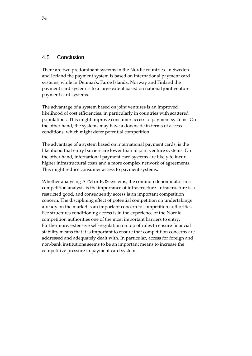### 4.5 Conclusion

There are two predominant systems in the Nordic countries. In Sweden and Iceland the payment system is based on international payment card systems, while in Denmark, Faroe Islands, Norway and Finland the payment card system is to a large extent based on national joint venture payment card systems.

The advantage of a system based on joint ventures is an improved likelihood of cost efficiencies, in particularly in countries with scattered populations. This might improve consumer access to payment systems. On the other hand, the systems may have a downside in terms of access conditions, which might deter potential competition.

The advantage of a system based on international payment cards, is the likelihood that entry barriers are lower than in joint venture systems. On the other hand, international payment card systems are likely to incur higher infrastructural costs and a more complex network of agreements. This might reduce consumer access to payment systems.

Whether analysing ATM or POS systems, the common denominator in a competition analysis is the importance of infrastructure. Infrastructure is a restricted good, and consequently access is an important competition concern. The disciplining effect of potential competition on undertakings already on the market is an important concern to competition authorities. Fee structures conditioning access is in the experience of the Nordic competition authorities one of the most important barriers to entry. Furthermore, extensive self-regulation on top of rules to ensure financial stability means that it is important to ensure that competition concerns are addressed and adequately dealt with. In particular, access for foreign and non‐bank institutions seems to be an important means to increase the competitive pressure in payment card systems.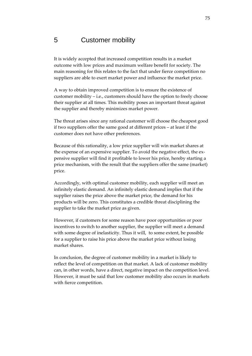# 5 Customer mobility

It is widely accepted that increased competition results in a market outcome with low prices and maximum welfare benefit for society. The main reasoning for this relates to the fact that under fierce competition no suppliers are able to exert market power and influence the market price.

A way to obtain improved competition is to ensure the existence of customer mobility – i.e., customers should have the option to freely choose their supplier at all times. This mobility poses an important threat against the supplier and thereby minimizes market power.

The threat arises since any rational customer will choose the cheapest good if two suppliers offer the same good at different prices – at least if the customer does not have other preferences.

Because of this rationality, a low price supplier will win market shares at the expense of an expensive supplier. To avoid the negative effect, the expensive supplier will find it profitable to lower his price, hereby starting a price mechanism, with the result that the suppliers offer the same (market) price.

Accordingly, with optimal customer mobility, each supplier will meet an infinitely elastic demand. An infinitely elastic demand implies that if the supplier raises the price above the market price, the demand for his products will be zero. This constitutes a credible threat disciplining the supplier to take the market price as given.

However, if customers for some reason have poor opportunities or poor incentives to switch to another supplier, the supplier will meet a demand with some degree of inelasticity. Thus it will, to some extent, be possible for a supplier to raise his price above the market price without losing market shares.

In conclusion, the degree of customer mobility in a market is likely to reflect the level of competition on that market. A lack of customer mobility can, in other words, have a direct, negative impact on the competition level. However, it must be said that low customer mobility also occurs in markets with fierce competition.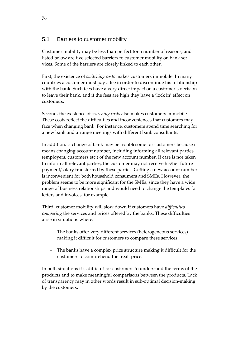# 5.1 Barriers to customer mobility

Customer mobility may be less than perfect for a number of reasons, and listed below are five selected barriers to customer mobility on bank services. Some of the barriers are closely linked to each other.

First, the existence of *switching costs* makes customers immobile. In many countries a customer must pay a fee in order to discontinue his relationship with the bank. Such fees have a very direct impact on a customer's decision to leave their bank, and if the fees are high they have a 'lock in' effect on customers.

Second, the existence of *searching costs* also makes customers immobile. These costs reflect the difficulties and inconveniences that customers may face when changing bank. For instance, customers spend time searching for a new bank and arrange meetings with different bank consultants.

In addition, a change of bank may be troublesome for customers because it means changing account number, including informing all relevant parties (employers, customers etc.) of the new account number. If care is not taken to inform all relevant parties, the customer may not receive his/her future payment/salary transferred by these parties. Getting a new account number is inconvenient for both household consumers and SMEs. However, the problem seems to be more significant for the SMEs, since they have a wide range of business relationships and would need to change the templates for letters and invoices, for example.

Third, customer mobility will slow down if customers have *difficulties comparing* the services and prices offered by the banks. These difficulties arise in situations where:

- The banks offer very different services (heterogeneous services) making it difficult for customers to compare these services.
- The banks have a complex price structure making it difficult for the customers to comprehend the 'real' price.

In both situations it is difficult for customers to understand the terms of the products and to make meaningful comparisons between the products. Lack of transparency may in other words result in sub‐optimal decision‐making by the customers.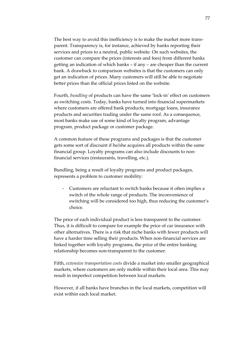The best way to avoid this inefficiency is to make the market more transparent. Transparency is, for instance, achieved by banks reporting their services and prices to a neutral, public website. On such websites, the customer can compare the prices (interests and fees) from different banks getting an indication of which banks – if any – are cheaper than the current bank. A drawback to comparison websites is that the customers can only get an indication of prices. Many customers will still be able to negotiate better prices than the official prices listed on the website.

Fourth, *bundling* of products can have the same 'lock‐in' effect on customers as switching costs. Today, banks have turned into financial supermarkets where customers are offered bank products, mortgage loans, insurance products and securities trading under the same roof. As a consequence, most banks make use of some kind of loyalty program, advantage program, product package or customer package.

A common feature of these programs and packages is that the customer gets some sort of discount if he/she acquires all products within the same financial group. Loyalty programs can also include discounts to non‐ financial services (restaurants, travelling, etc.).

Bundling, being a result of loyalty programs and product packages, represents a problem to customer mobility:

Customers are reluctant to switch banks because it often implies a switch of the whole range of products. The inconvenience of switching will be considered too high, thus reducing the customer's choice.

The price of each individual product is less transparent to the customer. Thus, it is difficult to compare for example the price of car insurance with other alternatives. There is a risk that niche banks with fewer products will have a harder time selling their products. When non-financial services are linked together with loyalty programs, the price of the entire banking relationship becomes non‐transparent to the customer.

Fifth, *extensive transportation costs* divide a market into smaller geographical markets, where customers are only mobile within their local area. This may result in imperfect competition between local markets.

However, if all banks have branches in the local markets, competition will exist within each local market.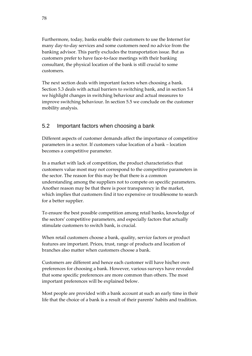Furthermore, today, banks enable their customers to use the Internet for many day‐to‐day services and some customers need no advice from the banking advisor. This partly excludes the transportation issue. But as customers prefer to have face‐to‐face meetings with their banking consultant, the physical location of the bank is still crucial to some customers.

The next section deals with important factors when choosing a bank. Section 5.3 deals with actual barriers to switching bank, and in section 5.4 we highlight changes in switching behaviour and actual measures to improve switching behaviour. In section 5.5 we conclude on the customer mobility analysis.

# 5.2 Important factors when choosing a bank

Different aspects of customer demands affect the importance of competitive parameters in a sector. If customers value location of a bank – location becomes a competitive parameter.

In a market with lack of competition, the product characteristics that customers value most may not correspond to the competitive parameters in the sector. The reason for this may be that there is a common understanding among the suppliers not to compete on specific parameters. Another reason may be that there is poor transparency in the market, which implies that customers find it too expensive or troublesome to search for a better supplier.

To ensure the best possible competition among retail banks, knowledge of the sectors' competitive parameters, and especially factors that actually stimulate customers to switch bank, is crucial.

When retail customers choose a bank, quality, service factors or product features are important. Prices, trust, range of products and location of branches also matter when customers choose a bank.

Customers are different and hence each customer will have his/her own preferences for choosing a bank. However, various surveys have revealed that some specific preferences are more common than others. The most important preferences will be explained below.

Most people are provided with a bank account at such an early time in their life that the choice of a bank is a result of their parents' habits and tradition.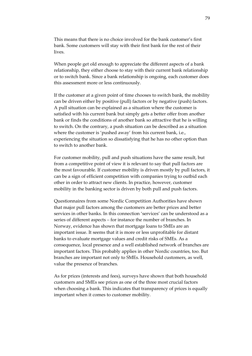This means that there is no choice involved for the bank customer's first bank. Some customers will stay with their first bank for the rest of their lives.

When people get old enough to appreciate the different aspects of a bank relationship, they either choose to stay with their current bank relationship or to switch bank. Since a bank relationship is ongoing, each customer does this assessment more or less continuously.

If the customer at a given point of time chooses to switch bank, the mobility can be driven either by positive (pull) factors or by negative (push) factors. A pull situation can be explained as a situation where the customer is satisfied with his current bank but simply gets a better offer from another bank or finds the conditions of another bank so attractive that he is willing to switch. On the contrary, a push situation can be described as a situation where the customer is 'pushed away' from his current bank, i.e., experiencing the situation so dissatisfying that he has no other option than to switch to another bank.

For customer mobility, pull and push situations have the same result, but from a competitive point of view it is relevant to say that pull factors are the most favourable. If customer mobility is driven mostly by pull factors, it can be a sign of efficient competition with companies trying to outbid each other in order to attract new clients. In practice, however, customer mobility in the banking sector is driven by both pull and push factors.

Questionnaires from some Nordic Competition Authorities have shown that major pull factors among the customers are better prices and better services in other banks. In this connection 'services' can be understood as a series of different aspects – for instance the number of branches. In Norway, evidence has shown that mortgage loans to SMEs are an important issue. It seems that it is more or less unprofitable for distant banks to evaluate mortgage values and credit risks of SMEs. As a consequence, local presence and a well established network of branches are important factors. This probably applies in other Nordic countries, too. But branches are important not only to SMEs. Household customers, as well, value the presence of branches.

As for prices (interests and fees), surveys have shown that both household customers and SMEs see prices as one of the three most crucial factors when choosing a bank. This indicates that transparency of prices is equally important when it comes to customer mobility.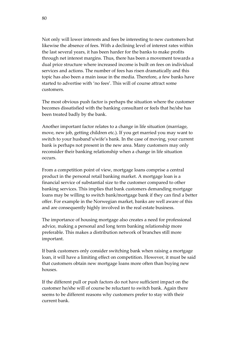Not only will lower interests and fees be interesting to new customers but likewise the absence of fees. With a declining level of interest rates within the last several years, it has been harder for the banks to make profits through net interest margins. Thus, there has been a movement towards a dual price structure where increased income is built on fees on individual services and actions. The number of fees has risen dramatically and this topic has also been a main issue in the media. Therefore, a few banks have started to advertise with 'no fees'. This will of course attract some customers.

The most obvious push factor is perhaps the situation where the customer becomes dissatisfied with the banking consultant or feels that he/she has been treated badly by the bank.

Another important factor relates to a change in life situation (marriage, move, new job, getting children etc.). If you get married you may want to switch to your husband's/wife's bank. In the case of moving, your current bank is perhaps not present in the new area. Many customers may only reconsider their banking relationship when a change in life situation occurs.

From a competition point of view, mortgage loans comprise a central product in the personal retail banking market. A mortgage loan is a financial service of substantial size to the customer compared to other banking services. This implies that bank customers demanding mortgage loans may be willing to switch bank/mortgage bank if they can find a better offer. For example in the Norwegian market, banks are well aware of this and are consequently highly involved in the real estate business.

The importance of housing mortgage also creates a need for professional advice, making a personal and long term banking relationship more preferable. This makes a distribution network of branches still more important.

If bank customers only consider switching bank when raising a mortgage loan, it will have a limiting effect on competition. However, it must be said that customers obtain new mortgage loans more often than buying new houses.

If the different pull or push factors do not have sufficient impact on the customer he/she will of course be reluctant to switch bank. Again there seems to be different reasons why customers prefer to stay with their current bank.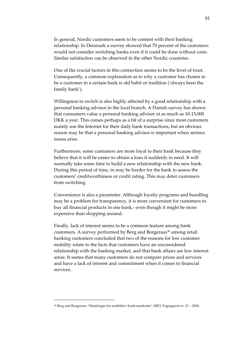In general, Nordic customers seem to be content with their banking relationship. In Denmark a survey showed that 70 percent of the customers would not consider switching banks even if it could be done without costs. Similar satisfaction can be observed in the other Nordic countries.

One of the crucial factors in this connection seems to be the level of trust. Consequently, a common explanation as to why a customer has chosen to be a customer in a certain bank is old habit or tradition ('always been the family bank').

Willingness to switch is also highly affected by a good relationship with a personal banking advisor in the local branch. A Danish survey has shown that consumers value a personal banking advisor at as much as 10‐15,000 DKK a year. This comes perhaps as a bit of a surprise since most customers mainly use the Internet for their daily bank transactions, but an obvious reason may be that a personal banking advisor is important when serious issues arise.

Furthermore, some customers are more loyal to their bank because they believe that it will be easier to obtain a loan if suddenly in need. It will normally take some time to build a new relationship with the new bank. During this period of time, in may be harder for the bank to assess the customers' creditworthiness or credit rating. This may deter customers from switching.

Convenience is also a parameter. Although loyalty programs and bundling may be a problem for transparency, it is more convenient for customers to buy all financial products in one bank,‐ even though it might be more expensive than shopping around.

Finally, lack of interest seems to be a common feature among bank customers. A survey performed by Berg and Borgeraas<sup>[30](#page-80-0)</sup> among retail banking customers concluded that two of the reasons for low customer mobility relate to the facts that customers have an unconsidered relationship with the banking market, and that bank affairs are low interest areas. It seems that many customers do not compare prices and services and have a lack of interest and commitment when it comes to financial services.

<u> 1989 - Johann Stein, marwolaethau a bh</u>

<span id="page-80-0"></span><sup>30</sup> Berg and Borgeraas: 'Hindringer for mobilitet i bank‐markedet', SIFO, Fagrapport nr. 21 – 2004.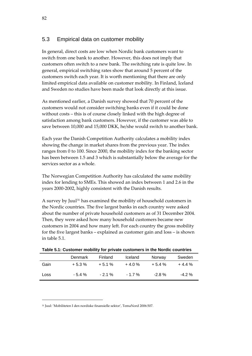## <span id="page-81-2"></span>5.3 Empirical data on customer mobility

In general, direct costs are low when Nordic bank customers want to switch from one bank to another. However, this does not imply that customers often switch to a new bank. The switching rate is quite low. In general, empirical switching rates show that around 5 percent of the customers switch each year. It is worth mentioning that there are only limited empirical data available on customer mobility. In Finland, Iceland and Sweden no studies have been made that look directly at this issue.

As mentioned earlier, a Danish survey showed that 70 percent of the customers would not consider switching banks even if it could be done without costs – this is of course closely linked with the high degree of satisfaction among bank customers. However, if the customer was able to save between 10,000 and 15,000 DKK, he/she would switch to another bank.

Each year the Danish Competition Authority calculates a mobility index showing the change in market shares from the previous year. The index ranges from 0 to 100. Since 2000, the mobility index for the banking sector has been between 1.5 and 3 which is substantially below the average for the services sector as a whole.

The Norwegian Competition Authority has calculated the same mobility index for lending to SMEs. This showed an index between 1 and 2.6 in the years 2000‐2002, highly consistent with the Danish results.

A survey by Juul[31](#page-81-0) has examined the mobility of household customers in the Nordic countries. The five largest banks in each country were asked about the number of private household customers as of 31 December 2004. Then, they were asked how many household customers became new customers in 2004 and how many left. For each country the gross mobility for the five largest banks – explained as customer gain and loss – is shown in [table](#page-81-1) 5.1.

<span id="page-81-1"></span>

| <b>. A PERIOD OF A PROPERTY IS THE PROPERTY OF A PROPERTY IS THE ISSUE OF A PROPERTY OF A PROPERTY OF A PROPERTY</b> |           |          |          |          |          |  |
|----------------------------------------------------------------------------------------------------------------------|-----------|----------|----------|----------|----------|--|
|                                                                                                                      | Denmark   | Finland  | Iceland  | Norway   | Sweden   |  |
| Gain                                                                                                                 | $+5.3\%$  | $+5.1%$  | $+4.0%$  | $+5.4%$  | $+4.4%$  |  |
| Loss                                                                                                                 | $-5.4 \%$ | $-2.1\%$ | $-1.7\%$ | $-2.8\%$ | $-4.2\%$ |  |

**Table 5.1: Customer mobility for private customers in the Nordic countries** 

<u> 1989 - Johann Stein, marwolaethau a bh</u>

<span id="page-81-0"></span><sup>31</sup> Juul: 'Mobiliteten I den nordiske finansielle sektor', TemaNord 2006:507.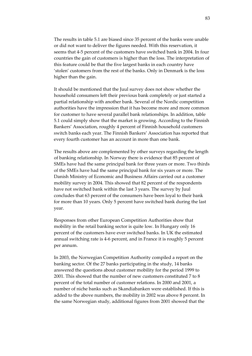The results in [table](#page-81-1) 5.1 are biased since 35 percent of the banks were unable or did not want to deliver the figures needed. With this reservation, it seems that 4‐5 percent of the customers have switched bank in 2004. In four countries the gain of customers is higher than the loss. The interpretation of this feature could be that the five largest banks in each country have 'stolen' customers from the rest of the banks. Only in Denmark is the loss higher than the gain.

It should be mentioned that the Juul survey does not show whether the household consumers left their previous bank completely or just started a partial relationship with another bank. Several of the Nordic competition authorities have the impression that it has become more and more common for customer to have several parallel bank relationships. In addition, table 5.1 could simply show that the market is growing. According to the Finnish Bankers' Association, roughly 4 percent of Finnish household customers switch banks each year. The Finnish Bankers' Association has reported that every fourth customer has an account in more than one bank.

The results above are complemented by other surveys regarding the length of banking relationship. In Norway there is evidence that 85 percent of SMEs have had the same principal bank for three years or more. Two thirds of the SMEs have had the same principal bank for six years or more. The Danish Ministry of Economic and Business Affairs carried out a customer mobility survey in 2004. This showed that 82 percent of the respondents have not switched bank within the last 3 years. The survey by Juul concludes that 63 percent of the consumers have been loyal to their bank for more than 10 years. Only 5 percent have switched bank during the last year.

Responses from other European Competition Authorities show that mobility in the retail banking sector is quite low. In Hungary only 16 percent of the customers have ever switched banks. In UK the estimated annual switching rate is 4‐6 percent, and in France it is roughly 5 percent per annum.

In 2003, the Norwegian Competition Authority compiled a report on the banking sector. Of the 27 banks participating in the study, 14 banks answered the questions about customer mobility for the period 1999 to 2001. This showed that the number of new customers constituted 7 to 8 percent of the total number of customer relations. In 2000 and 2001, a number of niche banks such as Skandiabanken were established. If this is added to the above numbers, the mobility in 2002 was above 8 percent. In the same Norwegian study, additional figures from 2001 showed that the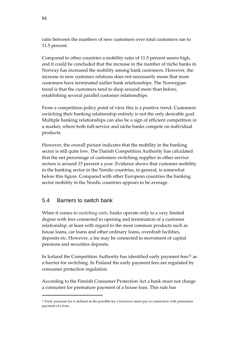ratio between the numbers of new customers over total customers ran to 11.5 percent.

Compared to other countries a mobility ratio of 11.5 percent seems high, and it could be concluded that the increase in the number of niche banks in Norway has increased the mobility among bank customers. However, the increase in new customer relations does not necessarily mean that more customers have terminated earlier bank relationships. The Norwegian trend is that the customers tend to shop around more than before, establishing several parallel customer relationships.

From a competition policy point of view this is a positive trend. Customers switching their banking relationship entirely is not the only desirable goal. Multiple banking relationships can also be a sign of efficient competition in a market, where both full‐service and niche banks compete on individual products.

However, the overall picture indicates that the mobility in the banking sector is still quite low. The Danish Competition Authority has calculated that the net percentage of customers switching supplier in other service sectors is around 15 percent a year. Evidence shows that customer mobility in the banking sector in the Nordic countries, in general, is somewhat below this figure. Compared with other European countries the banking sector mobility in the Nordic countries appears to be average.

# 5.4 Barriers to switch bank

<u> 1989 - Johann Stein, marwolaethau a bh</u>

When it comes to *switching costs,* banks operate only to a very limited degree with fees connected to opening and termination of a customer relationship, at least with regard to the most common products such as house loans, car loans and other ordinary loans, overdraft facilities, deposits etc. However, a fee may be connected to movement of capital pensions and securities deposits.

In Iceland the Competition Authority has identified early payment fees<sup>[32](#page-83-0)</sup> as a barrier for switching. In Finland the early payment fees are regulated by consumer protection regulation.

According to the Finnish Consumer Protection Act a bank must not charge a consumer for premature payment of a house loan. This rule has

<span id="page-83-0"></span> $32$  Early payment fee is defined as the possible fee a borrower must pay in connection with premature payment of a loan.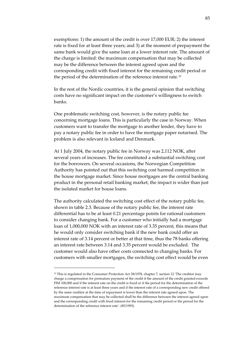exemptions: 1) the amount of the credit is over 17,000 EUR; 2) the interest rate is fixed for at least three years; and 3) at the moment of prepayment the same bank would give the same loan at a lower interest rate. The amount of the charge is limited: the maximum compensation that may be collected may be the difference between the interest agreed upon and the corresponding credit with fixed interest for the remaining credit period or the period of the determination of the reference interest rate.[33](#page-84-0)

In the rest of the Nordic countries, it is the general opinion that switching costs have no significant impact on the customer's willingness to switch banks.

One problematic switching cost, however, is the notary public fee concerning mortgage loans. This is particularly the case in Norway. When customers want to transfer the mortgage to another lender, they have to pay a notary public fee in order to have the mortgage paper notarised. The problem is also relevant in Iceland and Denmark.

At 1 July 2004, the notary public fee in Norway was 2,112 NOK, after several years of increases. The fee constituted a substantial switching cost for the borrowers. On several occasions, the Norwegian Competition Authority has pointed out that this switching cost harmed competition in the house mortgage market. Since house mortgages are the central banking product in the personal retail banking market, the impact is wider than just the isolated market for house loans.

The authority calculated the switching cost effect of the notary public fee, shown in table 2.3. Because of the notary public fee, the interest rate differential has to be at least 0.21 percentage points for rational customers to consider changing bank. For a customer who initially had a mortgage loan of 1,000,000 NOK with an interest rate of 3.35 percent, this means that he would only consider switching bank if the new bank could offer an interest rate of 3.14 percent or better at that time, thus the 78 banks offering an interest rate between 3.14 and 3.35 percent would be excluded. The customer would also have other costs connected to changing banks. For customers with smaller mortgages, the switching cost effect would be even

<u> 1989 - Johann Stein, marwolaethau a bh</u>

<span id="page-84-0"></span><sup>&</sup>lt;sup>33</sup> This is regulated in the Consumer Protection Act 38/1978, chapter 7, section 12 'The creditor may charge a compensation for premature payment of the credit if the amount of the credit granted exceeds FIM 100,000 and if the interest rate on the credit is fixed or if the period for the determination of the reference interest rate is at least three years and if the interest rate of a corresponding new credit offered by the same creditor at the time of repayment is lower than the interest rate agreed upon. The maximum compensation that may be collected shall be the difference between the interest agreed upon and the corresponding credit with fixed interest for the remaining credit period or the period for the determination of the reference interest rate'. (85/1993).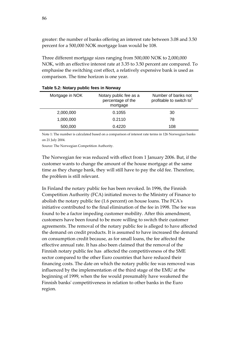greater: the number of banks offering an interest rate between 3.08 and 3.50 percent for a 500,000 NOK mortgage loan would be 108.

Three different mortgage sizes ranging from 500,000 NOK to 2,000,000 NOK, with an effective interest rate at 3.35 to 3.50 percent are compared. To emphasise the switching cost effect, a relatively expensive bank is used as comparison. The time horizon is one year.

| Mortgage in NOK | Notary public fee as a<br>percentage of the<br>mortgage | Number of banks not<br>profitable to switch to |  |  |  |  |
|-----------------|---------------------------------------------------------|------------------------------------------------|--|--|--|--|
| 2,000,000       | 0.1055                                                  | 30                                             |  |  |  |  |
| 1,000,000       | 0.2110                                                  | 78                                             |  |  |  |  |
| 500,000         | 0.4220                                                  | 108                                            |  |  |  |  |
|                 |                                                         |                                                |  |  |  |  |

#### **Table 5.2: Notary public fees in Norway**

Note 1: The number is calculated based on a comparison of interest rate terms in 126 Norwegian banks on 21 July 2004.

Source: The Norwegian Competition Authority.

The Norwegian fee was reduced with effect from 1 January 2006. But, if the customer wants to change the amount of the house mortgage at the same time as they change bank, they will still have to pay the old fee. Therefore, the problem is still relevant.

In Finland the notary public fee has been revoked. In 1996, the Finnish Competition Authority (FCA) initiated moves to the Ministry of Finance to abolish the notary public fee (1.6 percent) on house loans. The FCAʹs initiative contributed to the final elimination of the fee in 1998. The fee was found to be a factor impeding customer mobility. After this amendment, customers have been found to be more willing to switch their customer agreements. The removal of the notary public fee is alleged to have affected the demand on credit products. It is assumed to have increased the demand on consumption credit because, as for small loans, the fee affected the effective annual rate. It has also been claimed that the removal of the Finnish notary public fee has affected the competitiveness of the SME sector compared to the other Euro countries that have reduced their financing costs. The date on which the notary public fee was removed was influenced by the implementation of the third stage of the EMU at the beginning of 1999, when the fee would presumably have weakened the Finnish banksʹ competitiveness in relation to other banks in the Euro region.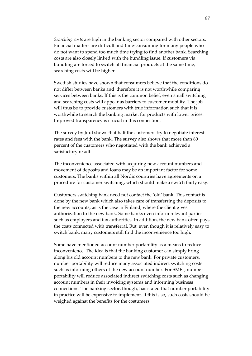*Searching costs* are high in the banking sector compared with other sectors. Financial matters are difficult and time‐consuming for many people who do not want to spend too much time trying to find another bank. Searching costs are also closely linked with the bundling issue. If customers via bundling are forced to switch all financial products at the same time, searching costs will be higher.

Swedish studies have shown that consumers believe that the conditions do not differ between banks and therefore it is not worthwhile comparing services between banks. If this is the common belief, even small switching and searching costs will appear as barriers to customer mobility. The job will thus be to provide customers with true information such that it is worthwhile to search the banking market for products with lower prices. Improved transparency is crucial in this connection.

The survey by Juul shows that half the customers try to negotiate interest rates and fees with the bank. The survey also shows that more than 80 percent of the customers who negotiated with the bank achieved a satisfactory result.

The inconvenience associated with acquiring new account numbers and movement of deposits and loans may be an important factor for some customers. The banks within all Nordic countries have agreements on a procedure for customer switching, which should make a switch fairly easy.

Customers switching bank need not contact the 'old' bank. This contact is done by the new bank which also takes care of transferring the deposits to the new accounts, as is the case in Finland, where the client gives authorization to the new bank. Some banks even inform relevant parties such as employers and tax authorities. In addition, the new bank often pays the costs connected with transferral. But, even though it is relatively easy to switch bank, many customers still find the inconvenience too high.

Some have mentioned account number portability as a means to reduce inconvenience. The idea is that the banking customer can simply bring along his old account numbers to the new bank. For private customers, number portability will reduce many associated indirect switching costs such as informing others of the new account number. For SMEs, number portability will reduce associated indirect switching costs such as changing account numbers in their invoicing systems and informing business connections. The banking sector, though, has stated that number portability in practice will be expensive to implement. If this is so, such costs should be weighed against the benefits for the costumers.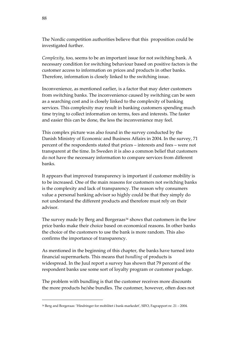The Nordic competition authorities believe that this proposition could be investigated further.

*Complexity*, too, seems to be an important issue for not switching bank. A necessary condition for switching behaviour based on positive factors is the customer access to information on prices and products in other banks. Therefore, information is closely linked to the switching issue.

Inconvenience, as mentioned earlier, is a factor that may deter customers from switching banks. The inconvenience caused by switching can be seen as a searching cost and is closely linked to the complexity of banking services. This complexity may result in banking customers spending much time trying to collect information on terms, fees and interests. The faster and easier this can be done, the less the inconvenience may feel.

This complex picture was also found in the survey conducted by the Danish Ministry of Economic and Business Affairs in 2004. In the survey, 71 percent of the respondents stated that prices – interests and fees – were not transparent at the time. In Sweden it is also a common belief that customers do not have the necessary information to compare services from different banks.

It appears that improved transparency is important if customer mobility is to be increased. One of the main reasons for customers not switching banks is the complexity and lack of transparency. The reason why consumers value a personal banking advisor so highly could be that they simply do not understand the different products and therefore must rely on their advisor.

The survey made by Berg and Borgeraas<sup>[34](#page-87-0)</sup> shows that customers in the low price banks make their choice based on economical reasons. In other banks the choice of the customers to use the bank is more random. This also confirms the importance of transparency.

As mentioned in the beginning of this chapter, the banks have turned into financial supermarkets. This means that *bundling* of products is widespread. In the Juul report a survey has shown that 79 percent of the respondent banks use some sort of loyalty program or customer package.

The problem with bundling is that the customer receives more discounts the more products he/she bundles. The customer, however, often does not

<u> 1989 - Johann Stein, marwolaethau a bh</u>

<span id="page-87-0"></span><sup>34</sup> Berg and Borgeraas: 'Hindringer for mobilitet i bank‐markedet', SIFO, Fagrapport nr. 21 – 2004.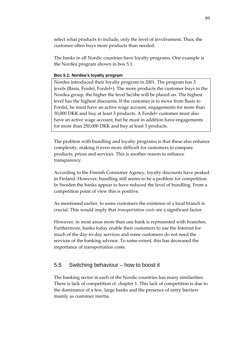select what products to include, only the level of involvement. Thus, the customer often buys more products than needed.

The banks in all Nordic countries have loyalty programs. One example is the Nordea program shown in [box](#page-88-0) 5.1.

### <span id="page-88-0"></span>**Box 5.1: Nordea's loyalty program**

Nordea introduced their loyalty program in 2001. The program has 3 levels (Basis, Fordel, Fordel+). The more products the customer buys in the Nordea group, the higher the level he/she will be placed on. The highest level has the highest discounts. If the customer is to move from Basis to Fordel, he must have an active wage account, engagements for more than 50,000 DKK and buy at least 3 products. A Fordel+ customer must also have an active wage account, but he must in addition have engagements for more than 250,000 DKK and buy at least 5 products.

The problem with bundling and loyalty programs is that these also enhance complexity, making it even more difficult for customers to compare products, prices and services. This is another reason to enhance transparency.

According to the Finnish Consumer Agency, loyalty discounts have peaked in Finland. However, bundling still seems to be a problem for competition. In Sweden the banks appear to have reduced the level of bundling. From a competition point of view this is positive.

As mentioned earlier, to some customers the existence of a local branch is crucial. This would imply that *transportation costs* are a significant factor.

However, in most areas more than one bank is represented with branches. Furthermore, banks today enable their customers to use the Internet for much of the day‐to‐day services and some customers do not need the services of the banking advisor. To some extent, this has decreased the importance of transportation costs.

## 5.5 Switching behaviour – how to boost it

The banking sector in each of the Nordic countries has many similarities: There is lack of competition cf. chapter 1. This lack of competition is due to the dominance of a few, large banks and the presence of entry barriers mainly as customer inertia.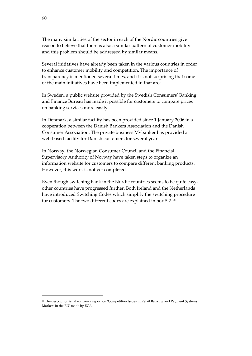The many similarities of the sector in each of the Nordic countries give reason to believe that there is also a similar pattern of customer mobility and this problem should be addressed by similar means.

Several initiatives have already been taken in the various countries in order to enhance customer mobility and competition. The importance of transparency is mentioned several times, and it is not surprising that some of the main initiatives have been implemented in that area.

In Sweden, a public website provided by the Swedish Consumers' Banking and Finance Bureau has made it possible for customers to compare prices on banking services more easily.

In Denmark, a similar facility has been provided since 1 January 2006 in a cooperation between the Danish Bankers Association and the Danish Consumer Association. The private business Mybanker has provided a web-based facility for Danish customers for several years.

In Norway, the Norwegian Consumer Council and the Financial Supervisory Authority of Norway have taken steps to organize an information website for customers to compare different banking products. However, this work is not yet completed.

Even though switching bank in the Nordic countries seems to be quite easy, other countries have progressed further. Both Ireland and the Netherlands have introduced Switching Codes which simplify the switching procedure for customers. The two different codes are explained in box 5.2..[35](#page-89-0)

<u> 1989 - Johann Stein, marwolaethau a bh</u>

<span id="page-89-0"></span><sup>&</sup>lt;sup>35</sup> The description is taken from a report on 'Competition Issues in Retail Banking and Payment Systems Markets in the EU' made by ECA.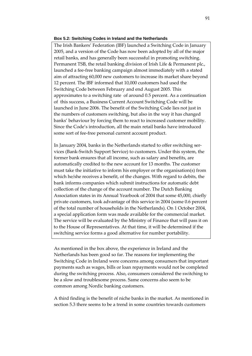#### **Box 5.2: Switching Codes in Ireland and the Netherlands**

The Irish Bankers' Federation (IBF) launched a Switching Code in January 2005, and a version of the Code has now been adopted by all of the major retail banks, and has generally been successful in promoting switching. Permanent TSB, the retail banking division of Irish Life & Permanent plc., launched a fee‐free banking campaign almost immediately with a stated aim of attracting 60,000 new customers to increase its market share beyond 12 percent. The IBF informed that 10,000 customers had used the Switching Code between February and end August 2005. This approximates to a switching rate of around 0.5 percent. As a continuation of this success, a Business Current Account Switching Code will be launched in June 2006. The benefit of the Switching Code lies not just in the numbers of customers switching, but also in the way it has changed banks' behaviour by forcing them to react to increased customer mobility. Since the Code's introduction, all the main retail banks have introduced some sort of fee-free personal current account product.

In January 2004, banks in the Netherlands started to offer switching services (Bank‐Switch Support Service) to customers. Under this system, the former bank ensures that all income, such as salary and benefits, are automatically credited to the new account for 13 months. The customer must take the initiative to inform his employer or the organisation(s) from which he/she receives a benefit, of the changes. With regard to debits, the bank informs companies which submit instructions for automatic debt collection of the change of the account number. The Dutch Banking Association states in its Annual Yearbook of 2004 that some 45,000, chiefly private customers, took advantage of this service in 2004 (some 0.6 percent of the total number of households in the Netherlands). On 1 October 2004, a special application form was made available for the commercial market. The service will be evaluated by the Ministry of Finance that will pass it on to the House of Representatives. At that time, it will be determined if the switching service forms a good alternative for number portability.

As mentioned in the box above, the experience in Ireland and the Netherlands has been good so far. The reasons for implementing the Switching Code in Ireland were concerns among consumers that important payments such as wages, bills or loan repayments would not be completed during the switching process. Also, consumers considered the switching to be a slow and troublesome process. Same concerns also seem to be common among Nordic banking customers.

A third finding is the benefit of niche banks in the market. As mentioned in section [5.3](#page-81-2) there seems to be a trend in some countries towards customers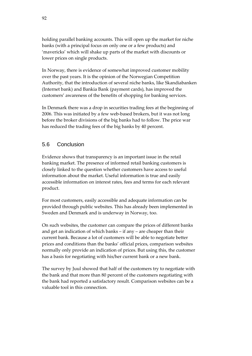holding parallel banking accounts. This will open up the market for niche banks (with a principal focus on only one or a few products) and 'mavericks' which will shake up parts of the market with discounts or lower prices on single products.

In Norway, there is evidence of somewhat improved customer mobility over the past years. It is the opinion of the Norwegian Competition Authority, that the introduction of several niche banks, like Skandiabanken (Internet bank) and Bankia Bank (payment cards), has improved the customers' awareness of the benefits of shopping for banking services.

In Denmark there was a drop in securities trading fees at the beginning of 2006. This was initiated by a few web‐based brokers, but it was not long before the broker divisions of the big banks had to follow. The price war has reduced the trading fees of the big banks by 40 percent.

# 5.6 Conclusion

Evidence shows that transparency is an important issue in the retail banking market. The presence of informed retail banking customers is closely linked to the question whether customers have access to useful information about the market. Useful information is true and easily accessible information on interest rates, fees and terms for each relevant product.

For most customers, easily accessible and adequate information can be provided through public websites. This has already been implemented in Sweden and Denmark and is underway in Norway, too.

On such websites, the customer can compare the prices of different banks and get an indication of which banks – if any – are cheaper than their current bank. Because a lot of customers will be able to negotiate better prices and conditions than the banks' official prices, comparison websites normally only provide an indication of prices. But using this, the customer has a basis for negotiating with his/her current bank or a new bank.

The survey by Juul showed that half of the customers try to negotiate with the bank and that more than 80 percent of the customers negotiating with the bank had reported a satisfactory result. Comparison websites can be a valuable tool in this connection.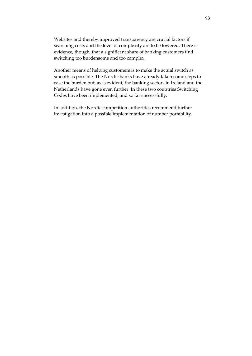Websites and thereby improved transparency are crucial factors if searching costs and the level of complexity are to be lowered. There is evidence, though, that a significant share of banking customers find switching too burdensome and too complex.

Another means of helping customers is to make the actual switch as smooth as possible. The Nordic banks have already taken some steps to ease the burden but, as is evident, the banking sectors in Ireland and the Netherlands have gone even further. In these two countries Switching Codes have been implemented, and so far successfully.

In addition, the Nordic competition authorities recommend further investigation into a possible implementation of number portability.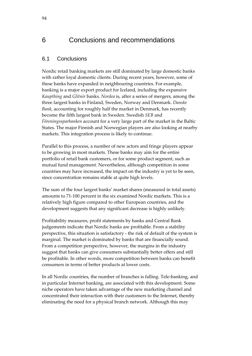# 6 Conclusions and recommendations

# 6.1 Conclusions

Nordic retail banking markets are still dominated by large domestic banks with rather loyal domestic clients. During recent years, however, some of these banks have expanded in neighbouring countries. For example, banking is a major export product for Iceland, including the expansive *Kaupthing* and *Glitnir* banks. *Nordea* is, after a series of mergers, among the three largest banks in Finland, Sweden, Norway and Denmark. *Danske Bank*, accounting for roughly half the market in Denmark, has recently become the fifth largest bank in Sweden. Swedish *SEB* and *Föreningssparbanken* account for a very large part of the market in the Baltic States. The major Finnish and Norwegian players are also looking at nearby markets. This integration process is likely to continue.

Parallel to this process, a number of new actors and fringe players appear to be growing in most markets. These banks may aim for the entire portfolio of retail bank customers, or for some product segment, such as mutual fund management. Nevertheless, although competition in some countries may have increased, the impact on the industry is yet to be seen, since concentration remains stable at quite high levels.

The sum of the four largest banks' market shares (measured in total assets) amounts to 71‐100 percent in the six examined Nordic markets. This is a relatively high figure compared to other European countries, and the development suggests that any significant decrease is highly unlikely.

Profitability measures, profit statements by banks and Central Bank judgements indicate that Nordic banks are profitable. From a stability perspective, this situation is satisfactory ‐ the risk of default of the system is marginal. The market is dominated by banks that are financially sound. From a competition perspective, however, the margins in the industry suggest that banks can give consumers substantially better offers and still be profitable. In other words, more competition between banks can benefit consumers in terms of better products at lower costs.

In all Nordic countries, the number of branches is falling. Tele-banking, and in particular Internet banking, are associated with this development. Some niche operators have taken advantage of the new marketing channel and concentrated their interaction with their customers to the Internet, thereby eliminating the need for a physical branch network. Although this may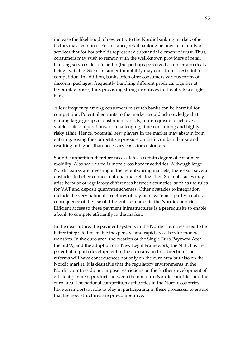increase the likelihood of new entry to the Nordic banking market, other factors may restrain it. For instance, retail banking belongs to a family of services that for households represent a substantial element of trust. Thus, consumers may wish to remain with the well‐known providers of retail banking services despite better (but perhaps perceived as uncertain) deals being available. Such consumer immobility may constitute a restraint to competition. In addition, banks often offer consumers various forms of discount packages, frequently bundling different products together at favourable prices, thus providing strong incentives for loyalty to a single bank.

A low frequency among consumers to switch banks can be harmful for competition. Potential entrants to the market would acknowledge that gaining large groups of customers rapidly, a prerequisite to achieve a viable scale of operations, is a challenging, time‐consuming and highly risky affair. Hence, potential new players in the market may abstain from entering, easing the competitive pressure on the incumbent banks and resulting in higher-than-necessary costs for customers.

Sound competition therefore necessitates a certain degree of consumer mobility. Also warranted is more cross border activities. Although large Nordic banks are investing in the neighbouring markets, there exist several obstacles to better connect national markets together. Such obstacles may arise because of regulatory differences between countries, such as the rules for VAT and deposit guarantee schemes. Other obstacles to integration include the very national structures of payment systems – partly a natural consequence of the use of different currencies in the Nordic countries. Efficient access to these payment infrastructures is a prerequisite to enable a bank to compete efficiently in the market.

In the near future, the payment systems in the Nordic countries need to be better integrated to enable inexpensive and rapid cross‐border money transfers. In the euro area, the creation of the Single Euro Payment Area, the SEPA, and the adoption of a New Legal Framework, the NLF, has the potential to push development in the euro area in this direction. The reforms will have consequences not only on the euro area but also on the Nordic market. It is desirable that the regulatory environments in the Nordic countries do not impose restrictions on the further development of efficient payment products between the non‐euro Nordic countries and the euro area. The national competition authorities in the Nordic countries have an important role to play in participating in these processes, to ensure that the new structures are pro‐competitive.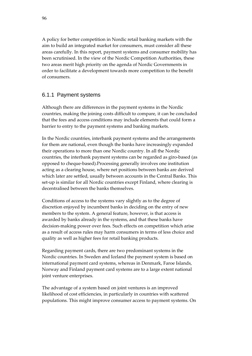A policy for better competition in Nordic retail banking markets with the aim to build an integrated market for consumers, must consider all these areas carefully. In this report, payment systems and consumer mobility has been scrutinised. In the view of the Nordic Competition Authorities, these two areas merit high priority on the agenda of Nordic Governments in order to facilitate a development towards more competition to the benefit of consumers.

# 6.1.1 Payment systems

Although there are differences in the payment systems in the Nordic countries, making the joining costs difficult to compare, it can be concluded that the fees and access conditions may include elements that could form a barrier to entry to the payment systems and banking markets.

In the Nordic countries, interbank payment systems and the arrangements for them are national, even though the banks have increasingly expanded their operations to more than one Nordic country. In all the Nordic countries, the interbank payment systems can be regarded as giro‐based (as opposed to cheque‐based).Processing generally involves one institution acting as a clearing house, where net positions between banks are derived which later are settled, usually between accounts in the Central Banks. This set-up is similar for all Nordic countries except Finland, where clearing is decentralised between the banks themselves.

Conditions of access to the systems vary slightly as to the degree of discretion enjoyed by incumbent banks in deciding on the entry of new members to the system. A general feature, however, is that access is awarded by banks already in the systems, and that these banks have decision‐making power over fees. Such effects on competition which arise as a result of access rules may harm consumers in terms of less choice and quality as well as higher fees for retail banking products.

Regarding payment cards, there are two predominant systems in the Nordic countries. In Sweden and Iceland the payment system is based on international payment card systems, whereas in Denmark, Faroe Islands, Norway and Finland payment card systems are to a large extent national joint venture enterprises.

The advantage of a system based on joint ventures is an improved likelihood of cost efficiencies, in particularly in countries with scattered populations. This might improve consumer access to payment systems. On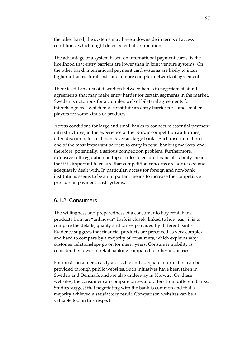the other hand, the systems may have a downside in terms of access conditions, which might deter potential competition.

The advantage of a system based on international payment cards, is the likelihood that entry barriers are lower than in joint venture systems. On the other hand, international payment card systems are likely to incur higher infrastructural costs and a more complex network of agreements.

There is still an area of discretion between banks to negotiate bilateral agreements that may make entry harder for certain segments in the market. Sweden is notorious for a complex web of bilateral agreements for interchange fees which may constitute an entry barrier for some smaller players for some kinds of products.

Access conditions for large and small banks to connect to essential payment infrastructures, in the experience of the Nordic competition authorities, often discriminate small banks versus large banks. Such discrimination is one of the most important barriers to entry in retail banking markets, and therefore, potentially, a serious competition problem. Furthermore, extensive self‐regulation on top of rules to ensure financial stability means that it is important to ensure that competition concerns are addressed and adequately dealt with. In particular, access for foreign and non‐bank institutions seems to be an important means to increase the competitive pressure in payment card systems.

### 6.1.2 Consumers

The willingness and preparedness of a consumer to buy retail bank products from an "unknown" bank is closely linked to how easy it is to compare the details, quality and prices provided by different banks. Evidence suggests that financial products are perceived as very complex and hard to compare by a majority of consumers, which explains why customer relationships go on for many years. Consumer mobility is considerably lower in retail banking compared to other industries.

For most consumers, easily accessible and adequate information can be provided through public websites. Such initiatives have been taken in Sweden and Denmark and are also underway in Norway. On these websites, the consumer can compare prices and offers from different banks. Studies suggest that negotiating with the bank is common and that a majority achieved a satisfactory result. Comparison websites can be a valuable tool in this respect.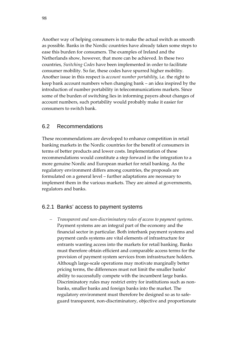Another way of helping consumers is to make the actual switch as smooth as possible. Banks in the Nordic countries have already taken some steps to ease this burden for consumers. The examples of Ireland and the Netherlands show, however, that more can be achieved. In these two countries, *Switching Codes* have been implemented in order to facilitate consumer mobility. So far, these codes have spurred higher mobility. Another issue in this respect is *account number portability*, i.e. the right to keep bank account numbers when changing bank – an idea inspired by the introduction of number portability in telecommunications markets. Since some of the burden of switching lies in informing payers about changes of account numbers, such portability would probably make it easier for consumers to switch bank.

## 6.2 Recommendations

These recommendations are developed to enhance competition in retail banking markets in the Nordic countries for the benefit of consumers in terms of better products and lower costs. Implementation of these recommendations would constitute a step forward in the integration to a more genuine Nordic and European market for retail banking. As the regulatory environment differs among countries, the proposals are formulated on a general level – further adaptations are necessary to implement them in the various markets. They are aimed at governments, regulators and banks.

## 6.2.1 Banks' access to payment systems

− *Transparent and non‐discriminatory rules of access to payment systems*. Payment systems are an integral part of the economy and the financial sector in particular. Both interbank payment systems and payment cards systems are vital elements of infrastructure for entrants wanting access into the markets for retail banking. Banks must therefore obtain efficient and comparable access terms for the provision of payment system services from infrastructure holders. Although large‐scale operations may motivate marginally better pricing terms, the differences must not limit the smaller banks' ability to successfully compete with the incumbent large banks. Discriminatory rules may restrict entry for institutions such as non‐ banks, smaller banks and foreign banks into the market. The regulatory environment must therefore be designed so as to safe‐ guard transparent, non‐discriminatory, objective and proportionate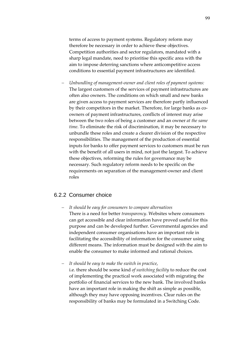terms of access to payment systems. Regulatory reform may therefore be necessary in order to achieve these objectives. Competition authorities and sector regulators, mandated with a sharp legal mandate, need to prioritise this specific area with the aim to impose deterring sanctions where anticompetitive access conditions to essential payment infrastructures are identified*.*

− *Unbundling of management‐owner and client roles of payment systems:* The largest customers of the services of payment infrastructures are often also owners. The conditions on which small and new banks are given access to payment services are therefore partly influenced by their competitors in the market. Therefore, for large banks as coowners of payment infrastructures, conflicts of interest may arise between the two roles of being a customer and an owner *at the same time*. To eliminate the risk of discrimination, it may be necessary to unbundle these roles and create a clearer division of the respective responsibilities. The management of the production of essential inputs for banks to offer payment services to customers must be run with the benefit of all users in mind, not just the largest. To achieve these objectives, reforming the rules for governance may be necessary. Such regulatory reform needs to be specific on the requirements on separation of the management‐owner and client roles

### 6.2.2 Consumer choice

− *It should be easy for consumers to compare alternatives* There is a need for better *transparency*. Websites where consumers can get accessible and clear information have proved useful for this purpose and can be developed further. Governmental agencies and independent consumer organisations have an important role in facilitating the accessibility of information for the consumer using different means. The information must be designed with the aim to enable the consumer to make informed and rational choices.

− *It should be easy to make the switch in practice*,

i.e. there should be some kind *of switching facility* to reduce the cost of implementing the practical work associated with migrating the portfolio of financial services to the new bank. The involved banks have an important role in making the shift as simple as possible, although they may have opposing incentives. Clear rules on the responsibility of banks may be formulated in a Switching Code.